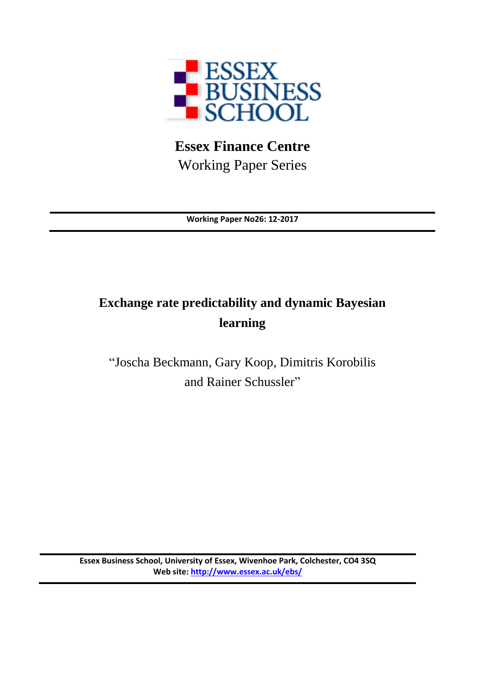

**Essex Finance Centre** Working Paper Series

**Working Paper No26: 12-2017**

# **Exchange rate predictability and dynamic Bayesian learning**

"Joscha Beckmann, Gary Koop, Dimitris Korobilis and Rainer Schussler"

**Essex Business School, University of Essex, Wivenhoe Park, Colchester, CO4 3SQ Web site:<http://www.essex.ac.uk/ebs/>**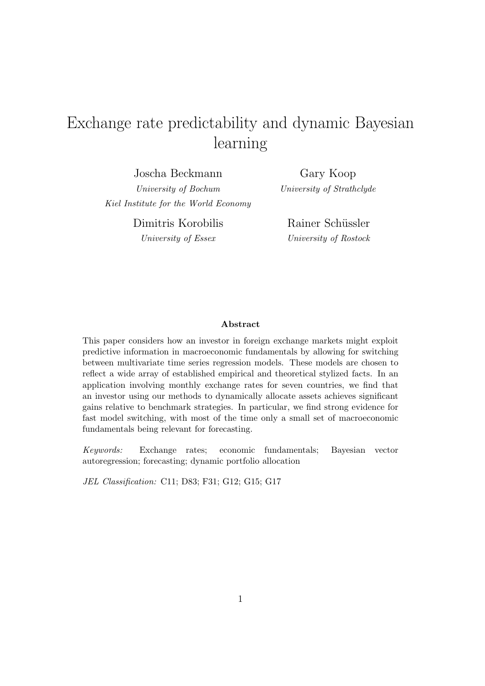# Exchange rate predictability and dynamic Bayesian learning

Joscha Beckmann

University of Bochum Kiel Institute for the World Economy

Gary Koop University of Strathclyde

Dimitris Korobilis University of Essex

Rainer Schüssler University of Rostock

#### Abstract

This paper considers how an investor in foreign exchange markets might exploit predictive information in macroeconomic fundamentals by allowing for switching between multivariate time series regression models. These models are chosen to reflect a wide array of established empirical and theoretical stylized facts. In an application involving monthly exchange rates for seven countries, we find that an investor using our methods to dynamically allocate assets achieves significant gains relative to benchmark strategies. In particular, we find strong evidence for fast model switching, with most of the time only a small set of macroeconomic fundamentals being relevant for forecasting.

Keywords: Exchange rates; economic fundamentals; Bayesian vector autoregression; forecasting; dynamic portfolio allocation

JEL Classification: C11; D83; F31; G12; G15; G17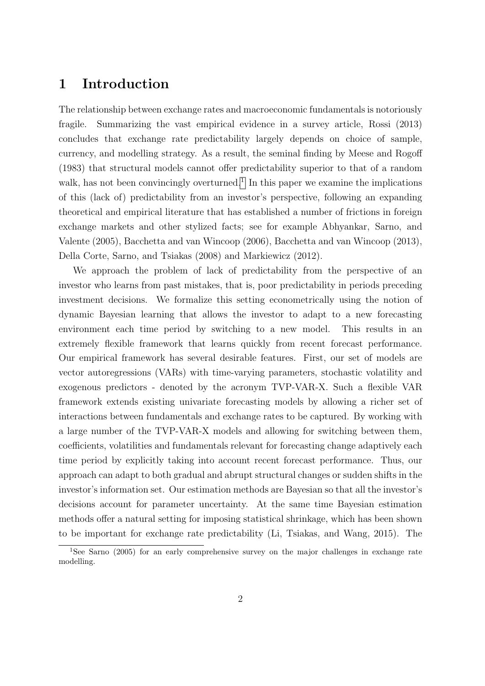# 1 Introduction

The relationship between exchange rates and macroeconomic fundamentals is notoriously fragile. Summarizing the vast empirical evidence in a survey article, Rossi (2013) concludes that exchange rate predictability largely depends on choice of sample, currency, and modelling strategy. As a result, the seminal finding by Meese and Rogoff (1983) that structural models cannot offer predictability superior to that of a random walk, has not been convincingly overturned.<sup>[1](#page-2-0)</sup> In this paper we examine the implications of this (lack of) predictability from an investor's perspective, following an expanding theoretical and empirical literature that has established a number of frictions in foreign exchange markets and other stylized facts; see for example Abhyankar, Sarno, and Valente (2005), Bacchetta and van Wincoop (2006), Bacchetta and van Wincoop (2013), Della Corte, Sarno, and Tsiakas (2008) and Markiewicz (2012).

We approach the problem of lack of predictability from the perspective of an investor who learns from past mistakes, that is, poor predictability in periods preceding investment decisions. We formalize this setting econometrically using the notion of dynamic Bayesian learning that allows the investor to adapt to a new forecasting environment each time period by switching to a new model. This results in an extremely flexible framework that learns quickly from recent forecast performance. Our empirical framework has several desirable features. First, our set of models are vector autoregressions (VARs) with time-varying parameters, stochastic volatility and exogenous predictors - denoted by the acronym TVP-VAR-X. Such a flexible VAR framework extends existing univariate forecasting models by allowing a richer set of interactions between fundamentals and exchange rates to be captured. By working with a large number of the TVP-VAR-X models and allowing for switching between them, coefficients, volatilities and fundamentals relevant for forecasting change adaptively each time period by explicitly taking into account recent forecast performance. Thus, our approach can adapt to both gradual and abrupt structural changes or sudden shifts in the investor's information set. Our estimation methods are Bayesian so that all the investor's decisions account for parameter uncertainty. At the same time Bayesian estimation methods offer a natural setting for imposing statistical shrinkage, which has been shown to be important for exchange rate predictability (Li, Tsiakas, and Wang, 2015). The

<span id="page-2-0"></span><sup>&</sup>lt;sup>1</sup>See Sarno (2005) for an early comprehensive survey on the major challenges in exchange rate modelling.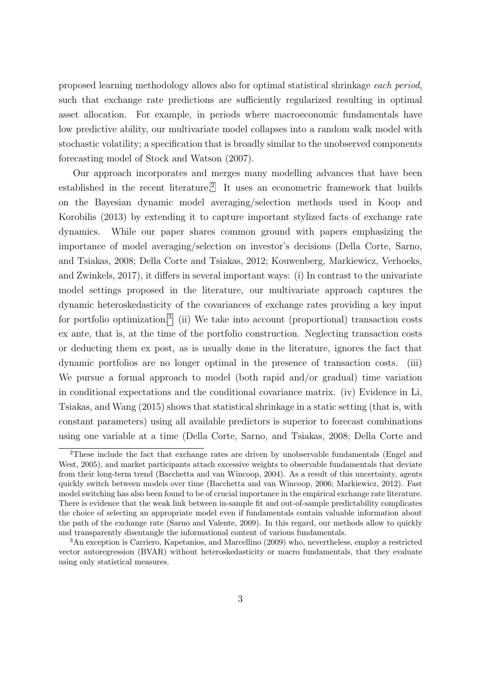proposed learning methodology allows also for optimal statistical shrinkage each period, such that exchange rate predictions are sufficiently regularized resulting in optimal asset allocation. For example, in periods where macroeconomic fundamentals have low predictive ability, our multivariate model collapses into a random walk model with stochastic volatility; a specification that is broadly similar to the unobserved components forecasting model of Stock and Watson (2007).

Our approach incorporates and merges many modelling advances that have been established in the recent literature.<sup>[2](#page-3-0)</sup> It uses an econometric framework that builds on the Bayesian dynamic model averaging/selection methods used in Koop and Korobilis (2013) by extending it to capture important stylized facts of exchange rate dynamics. While our paper shares common ground with papers emphasizing the importance of model averaging/selection on investor's decisions (Della Corte, Sarno, and Tsiakas, 2008; Della Corte and Tsiakas, 2012; Kouwenberg, Markiewicz, Verhoeks, and Zwinkels, 2017), it differs in several important ways: (i) In contrast to the univariate model settings proposed in the literature, our multivariate approach captures the dynamic heteroskedasticity of the covariances of exchange rates providing a key input for portfolio optimization.<sup>[3](#page-3-1)</sup> (ii) We take into account (proportional) transaction costs ex ante, that is, at the time of the portfolio construction. Neglecting transaction costs or deducting them ex post, as is usually done in the literature, ignores the fact that dynamic portfolios are no longer optimal in the presence of transaction costs. (iii) We pursue a formal approach to model (both rapid and/or gradual) time variation in conditional expectations and the conditional covariance matrix. (iv) Evidence in Li, Tsiakas, and Wang (2015) shows that statistical shrinkage in a static setting (that is, with constant parameters) using all available predictors is superior to forecast combinations using one variable at a time (Della Corte, Sarno, and Tsiakas, 2008; Della Corte and

<span id="page-3-0"></span><sup>&</sup>lt;sup>2</sup>These include the fact that exchange rates are driven by unobservable fundamentals (Engel and West, 2005), and market participants attach excessive weights to observable fundamentals that deviate from their long-term trend (Bacchetta and van Wincoop, 2004). As a result of this uncertainty, agents quickly switch between models over time (Bacchetta and van Wincoop, 2006; Markiewicz, 2012). Fast model switching has also been found to be of crucial importance in the empirical exchange rate literature. There is evidence that the weak link between in-sample fit and out-of-sample predictability complicates the choice of selecting an appropriate model even if fundamentals contain valuable information about the path of the exchange rate (Sarno and Valente, 2009). In this regard, our methods allow to quickly and transparently disentangle the informational content of various fundamentals.

<span id="page-3-1"></span><sup>3</sup>An exception is Carriero, Kapetanios, and Marcellino (2009) who, nevertheless, employ a restricted vector autoregression (BVAR) without heteroskedasticity or macro fundamentals, that they evaluate using only statistical measures.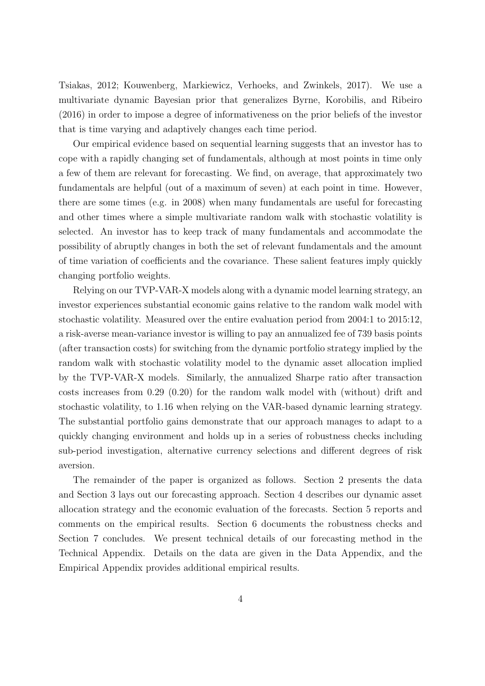Tsiakas, 2012; Kouwenberg, Markiewicz, Verhoeks, and Zwinkels, 2017). We use a multivariate dynamic Bayesian prior that generalizes Byrne, Korobilis, and Ribeiro (2016) in order to impose a degree of informativeness on the prior beliefs of the investor that is time varying and adaptively changes each time period.

Our empirical evidence based on sequential learning suggests that an investor has to cope with a rapidly changing set of fundamentals, although at most points in time only a few of them are relevant for forecasting. We find, on average, that approximately two fundamentals are helpful (out of a maximum of seven) at each point in time. However, there are some times (e.g. in 2008) when many fundamentals are useful for forecasting and other times where a simple multivariate random walk with stochastic volatility is selected. An investor has to keep track of many fundamentals and accommodate the possibility of abruptly changes in both the set of relevant fundamentals and the amount of time variation of coefficients and the covariance. These salient features imply quickly changing portfolio weights.

Relying on our TVP-VAR-X models along with a dynamic model learning strategy, an investor experiences substantial economic gains relative to the random walk model with stochastic volatility. Measured over the entire evaluation period from 2004:1 to 2015:12, a risk-averse mean-variance investor is willing to pay an annualized fee of 739 basis points (after transaction costs) for switching from the dynamic portfolio strategy implied by the random walk with stochastic volatility model to the dynamic asset allocation implied by the TVP-VAR-X models. Similarly, the annualized Sharpe ratio after transaction costs increases from 0.29 (0.20) for the random walk model with (without) drift and stochastic volatility, to 1.16 when relying on the VAR-based dynamic learning strategy. The substantial portfolio gains demonstrate that our approach manages to adapt to a quickly changing environment and holds up in a series of robustness checks including sub-period investigation, alternative currency selections and different degrees of risk aversion.

The remainder of the paper is organized as follows. Section 2 presents the data and Section 3 lays out our forecasting approach. Section 4 describes our dynamic asset allocation strategy and the economic evaluation of the forecasts. Section 5 reports and comments on the empirical results. Section 6 documents the robustness checks and Section 7 concludes. We present technical details of our forecasting method in the Technical Appendix. Details on the data are given in the Data Appendix, and the Empirical Appendix provides additional empirical results.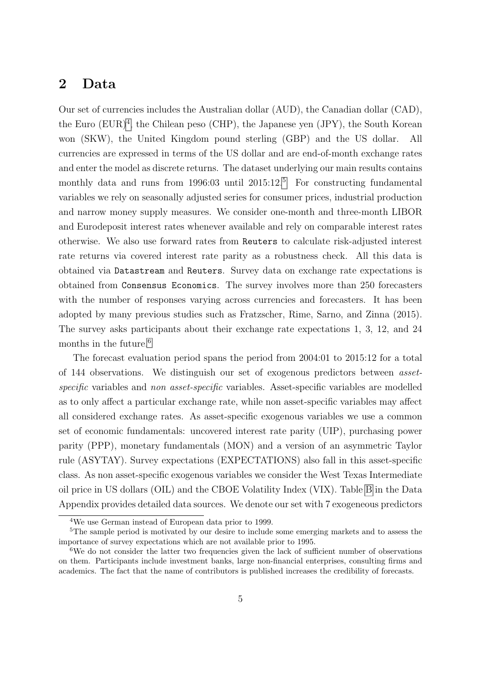## 2 Data

Our set of currencies includes the Australian dollar (AUD), the Canadian dollar (CAD), the Euro  $(EUR)^4$  $(EUR)^4$ , the Chilean peso (CHP), the Japanese yen (JPY), the South Korean won (SKW), the United Kingdom pound sterling (GBP) and the US dollar. All currencies are expressed in terms of the US dollar and are end-of-month exchange rates and enter the model as discrete returns. The dataset underlying our main results contains monthly data and runs from 1996:03 until  $2015:12<sup>5</sup>$  $2015:12<sup>5</sup>$  $2015:12<sup>5</sup>$  For constructing fundamental variables we rely on seasonally adjusted series for consumer prices, industrial production and narrow money supply measures. We consider one-month and three-month LIBOR and Eurodeposit interest rates whenever available and rely on comparable interest rates otherwise. We also use forward rates from Reuters to calculate risk-adjusted interest rate returns via covered interest rate parity as a robustness check. All this data is obtained via Datastream and Reuters. Survey data on exchange rate expectations is obtained from Consensus Economics. The survey involves more than 250 forecasters with the number of responses varying across currencies and forecasters. It has been adopted by many previous studies such as Fratzscher, Rime, Sarno, and Zinna (2015). The survey asks participants about their exchange rate expectations 1, 3, 12, and 24 months in the future.<sup>[6](#page-5-2)</sup>

The forecast evaluation period spans the period from 2004:01 to 2015:12 for a total of 144 observations. We distinguish our set of exogenous predictors between assetspecific variables and non asset-specific variables. Asset-specific variables are modelled as to only affect a particular exchange rate, while non asset-specific variables may affect all considered exchange rates. As asset-specific exogenous variables we use a common set of economic fundamentals: uncovered interest rate parity (UIP), purchasing power parity (PPP), monetary fundamentals (MON) and a version of an asymmetric Taylor rule (ASYTAY). Survey expectations (EXPECTATIONS) also fall in this asset-specific class. As non asset-specific exogenous variables we consider the West Texas Intermediate oil price in US dollars (OIL) and the CBOE Volatility Index (VIX). Table [B](#page-39-0) in the Data Appendix provides detailed data sources. We denote our set with 7 exogeneous predictors

<span id="page-5-1"></span><span id="page-5-0"></span><sup>4</sup>We use German instead of European data prior to 1999.

<sup>&</sup>lt;sup>5</sup>The sample period is motivated by our desire to include some emerging markets and to assess the importance of survey expectations which are not available prior to 1995.

<span id="page-5-2"></span><sup>&</sup>lt;sup>6</sup>We do not consider the latter two frequencies given the lack of sufficient number of observations on them. Participants include investment banks, large non-financial enterprises, consulting firms and academics. The fact that the name of contributors is published increases the credibility of forecasts.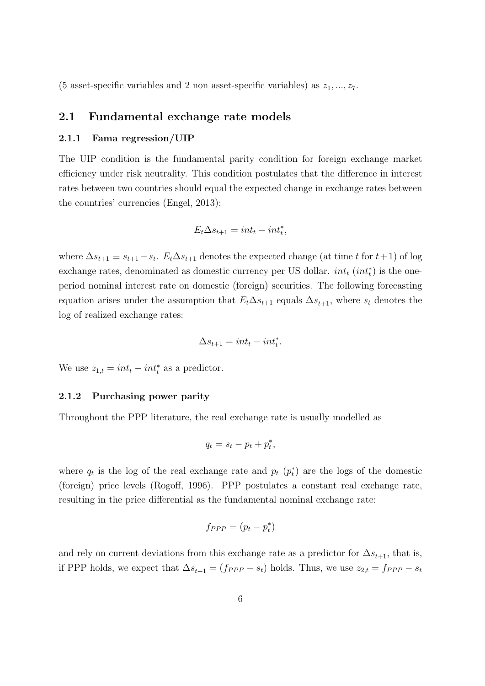(5 asset-specific variables and 2 non asset-specific variables) as  $z_1, ..., z_7$ .

### 2.1 Fundamental exchange rate models

#### 2.1.1 Fama regression/UIP

The UIP condition is the fundamental parity condition for foreign exchange market efficiency under risk neutrality. This condition postulates that the difference in interest rates between two countries should equal the expected change in exchange rates between the countries' currencies (Engel, 2013):

$$
E_t \Delta s_{t+1} = int_t - int_t^*,
$$

where  $\Delta s_{t+1} \equiv s_{t+1} - s_t$ .  $E_t \Delta s_{t+1}$  denotes the expected change (at time t for  $t+1$ ) of log exchange rates, denominated as domestic currency per US dollar.  $int_t (int_t^*)$  is the oneperiod nominal interest rate on domestic (foreign) securities. The following forecasting equation arises under the assumption that  $E_t\Delta s_{t+1}$  equals  $\Delta s_{t+1}$ , where  $s_t$  denotes the log of realized exchange rates:

$$
\Delta s_{t+1} = int_t - int_t^*.
$$

We use  $z_{1,t} = int_t - int_t^*$  as a predictor.

#### 2.1.2 Purchasing power parity

Throughout the PPP literature, the real exchange rate is usually modelled as

$$
q_t = s_t - p_t + p_t^*,
$$

where  $q_t$  is the log of the real exchange rate and  $p_t$   $(p_t^*)$  are the logs of the domestic (foreign) price levels (Rogoff, 1996). PPP postulates a constant real exchange rate, resulting in the price differential as the fundamental nominal exchange rate:

$$
f_{PPP}=(p_t-p_t^*)
$$

and rely on current deviations from this exchange rate as a predictor for  $\Delta s_{t+1}$ , that is, if PPP holds, we expect that  $\Delta s_{t+1} = (f_{PPP} - s_t)$  holds. Thus, we use  $z_{2,t} = f_{PPP} - s_t$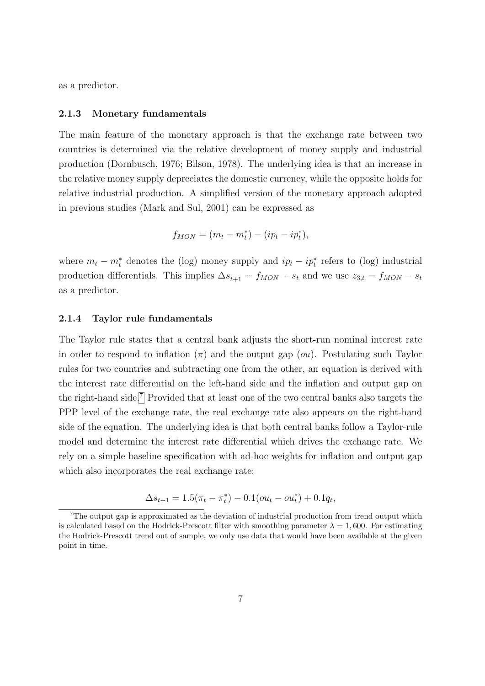as a predictor.

#### 2.1.3 Monetary fundamentals

The main feature of the monetary approach is that the exchange rate between two countries is determined via the relative development of money supply and industrial production (Dornbusch, 1976; Bilson, 1978). The underlying idea is that an increase in the relative money supply depreciates the domestic currency, while the opposite holds for relative industrial production. A simplified version of the monetary approach adopted in previous studies (Mark and Sul, 2001) can be expressed as

$$
f_{MON} = (m_t - m_t^*) - (ip_t - ip_t^*),
$$

where  $m_t - m_t^*$  denotes the (log) money supply and  $ip_t - ip_t^*$  refers to (log) industrial production differentials. This implies  $\Delta s_{t+1} = f_{MON} - s_t$  and we use  $z_{3,t} = f_{MON} - s_t$ as a predictor.

#### 2.1.4 Taylor rule fundamentals

The Taylor rule states that a central bank adjusts the short-run nominal interest rate in order to respond to inflation  $(\pi)$  and the output gap (*ou*). Postulating such Taylor rules for two countries and subtracting one from the other, an equation is derived with the interest rate differential on the left-hand side and the inflation and output gap on the right-hand side.[7](#page-7-0) Provided that at least one of the two central banks also targets the PPP level of the exchange rate, the real exchange rate also appears on the right-hand side of the equation. The underlying idea is that both central banks follow a Taylor-rule model and determine the interest rate differential which drives the exchange rate. We rely on a simple baseline specification with ad-hoc weights for inflation and output gap which also incorporates the real exchange rate:

$$
\Delta s_{t+1} = 1.5(\pi_t - \pi_t^*) - 0.1(ou_t - ou_t^*) + 0.1q_t,
$$

<span id="page-7-0"></span><sup>&</sup>lt;sup>7</sup>The output gap is approximated as the deviation of industrial production from trend output which is calculated based on the Hodrick-Prescott filter with smoothing parameter  $\lambda = 1,600$ . For estimating the Hodrick-Prescott trend out of sample, we only use data that would have been available at the given point in time.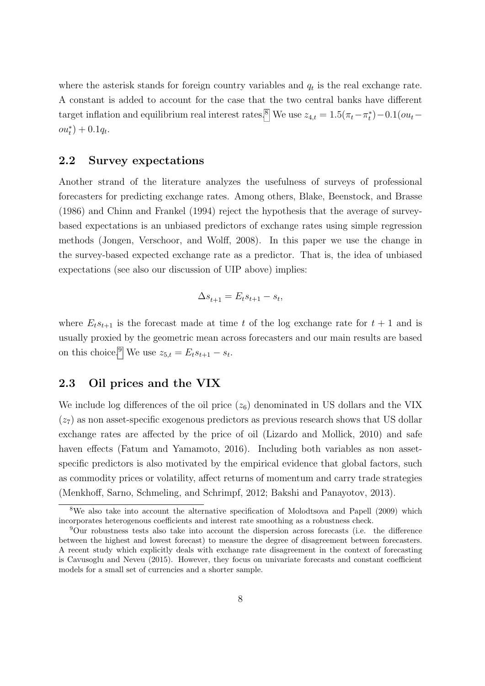where the asterisk stands for foreign country variables and  $q_t$  is the real exchange rate. A constant is added to account for the case that the two central banks have different target inflation and equilibrium real interest rates.<sup>[8](#page-8-0)</sup> We use  $z_{4,t} = 1.5(\pi_t - \pi_t^*) - 0.1(ou_t$  $ou_t^*$ ) + 0.1 $q_t$ .

#### 2.2 Survey expectations

Another strand of the literature analyzes the usefulness of surveys of professional forecasters for predicting exchange rates. Among others, Blake, Beenstock, and Brasse (1986) and Chinn and Frankel (1994) reject the hypothesis that the average of surveybased expectations is an unbiased predictors of exchange rates using simple regression methods (Jongen, Verschoor, and Wolff, 2008). In this paper we use the change in the survey-based expected exchange rate as a predictor. That is, the idea of unbiased expectations (see also our discussion of UIP above) implies:

$$
\Delta s_{t+1} = E_t s_{t+1} - s_t,
$$

where  $E_t s_{t+1}$  is the forecast made at time t of the log exchange rate for  $t + 1$  and is usually proxied by the geometric mean across forecasters and our main results are based on this choice.<sup>[9](#page-8-1)</sup> We use  $z_{5,t} = E_t s_{t+1} - s_t$ .

### 2.3 Oil prices and the VIX

We include log differences of the oil price  $(z_6)$  denominated in US dollars and the VIX  $(z_7)$  as non asset-specific exogenous predictors as previous research shows that US dollar exchange rates are affected by the price of oil (Lizardo and Mollick, 2010) and safe haven effects (Fatum and Yamamoto, 2016). Including both variables as non assetspecific predictors is also motivated by the empirical evidence that global factors, such as commodity prices or volatility, affect returns of momentum and carry trade strategies (Menkhoff, Sarno, Schmeling, and Schrimpf, 2012; Bakshi and Panayotov, 2013).

<span id="page-8-0"></span><sup>&</sup>lt;sup>8</sup>We also take into account the alternative specification of Molodtsova and Papell (2009) which incorporates heterogenous coefficients and interest rate smoothing as a robustness check.

<span id="page-8-1"></span><sup>9</sup>Our robustness tests also take into account the dispersion across forecasts (i.e. the difference between the highest and lowest forecast) to measure the degree of disagreement between forecasters. A recent study which explicitly deals with exchange rate disagreement in the context of forecasting is Cavusoglu and Neveu (2015). However, they focus on univariate forecasts and constant coefficient models for a small set of currencies and a shorter sample.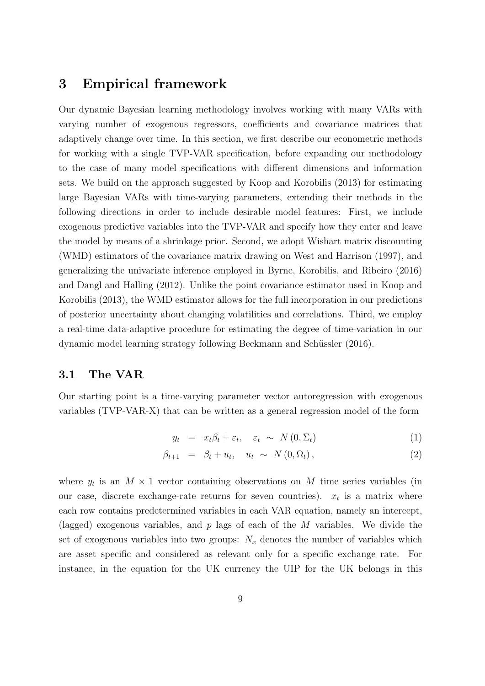## 3 Empirical framework

Our dynamic Bayesian learning methodology involves working with many VARs with varying number of exogenous regressors, coefficients and covariance matrices that adaptively change over time. In this section, we first describe our econometric methods for working with a single TVP-VAR specification, before expanding our methodology to the case of many model specifications with different dimensions and information sets. We build on the approach suggested by Koop and Korobilis (2013) for estimating large Bayesian VARs with time-varying parameters, extending their methods in the following directions in order to include desirable model features: First, we include exogenous predictive variables into the TVP-VAR and specify how they enter and leave the model by means of a shrinkage prior. Second, we adopt Wishart matrix discounting (WMD) estimators of the covariance matrix drawing on West and Harrison (1997), and generalizing the univariate inference employed in Byrne, Korobilis, and Ribeiro (2016) and Dangl and Halling (2012). Unlike the point covariance estimator used in Koop and Korobilis (2013), the WMD estimator allows for the full incorporation in our predictions of posterior uncertainty about changing volatilities and correlations. Third, we employ a real-time data-adaptive procedure for estimating the degree of time-variation in our dynamic model learning strategy following Beckmann and Schüssler (2016).

### 3.1 The VAR

Our starting point is a time-varying parameter vector autoregression with exogenous variables (TVP-VAR-X) that can be written as a general regression model of the form

<span id="page-9-0"></span>
$$
y_t = x_t \beta_t + \varepsilon_t, \quad \varepsilon_t \sim N(0, \Sigma_t) \tag{1}
$$

$$
\beta_{t+1} = \beta_t + u_t, \quad u_t \sim N(0, \Omega_t), \tag{2}
$$

where  $y_t$  is an  $M \times 1$  vector containing observations on M time series variables (in our case, discrete exchange-rate returns for seven countries).  $x_t$  is a matrix where each row contains predetermined variables in each VAR equation, namely an intercept, (lagged) exogenous variables, and  $p$  lags of each of the  $M$  variables. We divide the set of exogenous variables into two groups:  $N_x$  denotes the number of variables which are asset specific and considered as relevant only for a specific exchange rate. For instance, in the equation for the UK currency the UIP for the UK belongs in this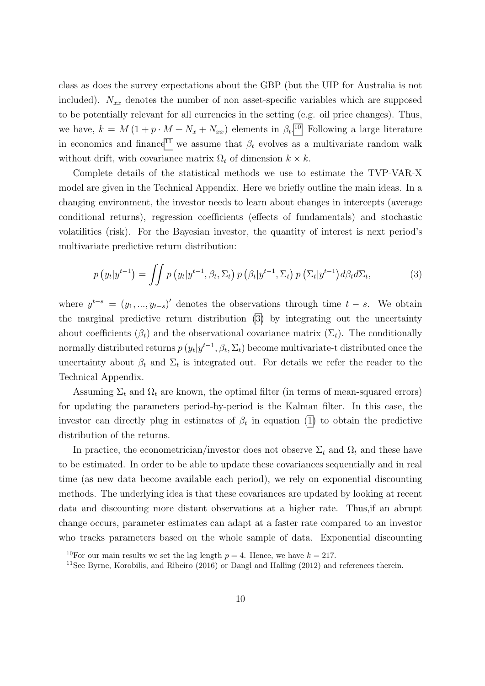class as does the survey expectations about the GBP (but the UIP for Australia is not included).  $N_{xx}$  denotes the number of non asset-specific variables which are supposed to be potentially relevant for all currencies in the setting (e.g. oil price changes). Thus, we have,  $k = M(1 + p \cdot M + N_x + N_{xx})$  elements in  $\beta_t$ .<sup>[10](#page-10-0)</sup> Following a large literature in economics and finance<sup>[11](#page-10-1)</sup> we assume that  $\beta_t$  evolves as a multivariate random walk without drift, with covariance matrix  $\Omega_t$  of dimension  $k \times k$ .

Complete details of the statistical methods we use to estimate the TVP-VAR-X model are given in the Technical Appendix. Here we briefly outline the main ideas. In a changing environment, the investor needs to learn about changes in intercepts (average conditional returns), regression coefficients (effects of fundamentals) and stochastic volatilities (risk). For the Bayesian investor, the quantity of interest is next period's multivariate predictive return distribution:

<span id="page-10-2"></span>
$$
p(y_t|y^{t-1}) = \iint p(y_t|y^{t-1}, \beta_t, \Sigma_t) p(\beta_t|y^{t-1}, \Sigma_t) p(\Sigma_t|y^{t-1}) d\beta_t d\Sigma_t,
$$
\n(3)

where  $y^{t-s} = (y_1, ..., y_{t-s})'$  denotes the observations through time  $t - s$ . We obtain the marginal predictive return distribution [\(3\)](#page-10-2) by integrating out the uncertainty about coefficients  $(\beta_t)$  and the observational covariance matrix  $(\Sigma_t)$ . The conditionally normally distributed returns  $p(y_t|y^{t-1}, \beta_t, \Sigma_t)$  become multivariate-t distributed once the uncertainty about  $\beta_t$  and  $\Sigma_t$  is integrated out. For details we refer the reader to the Technical Appendix.

Assuming  $\Sigma_t$  and  $\Omega_t$  are known, the optimal filter (in terms of mean-squared errors) for updating the parameters period-by-period is the Kalman filter. In this case, the investor can directly plug in estimates of  $\beta_t$  in equation [\(1\)](#page-9-0) to obtain the predictive distribution of the returns.

In practice, the econometrician/investor does not observe  $\Sigma_t$  and  $\Omega_t$  and these have to be estimated. In order to be able to update these covariances sequentially and in real time (as new data become available each period), we rely on exponential discounting methods. The underlying idea is that these covariances are updated by looking at recent data and discounting more distant observations at a higher rate. Thus,if an abrupt change occurs, parameter estimates can adapt at a faster rate compared to an investor who tracks parameters based on the whole sample of data. Exponential discounting

<span id="page-10-0"></span><sup>&</sup>lt;sup>10</sup>For our main results we set the lag length  $p = 4$ . Hence, we have  $k = 217$ .

<span id="page-10-1"></span><sup>&</sup>lt;sup>11</sup>See Byrne, Korobilis, and Ribeiro (2016) or Dangl and Halling (2012) and references therein.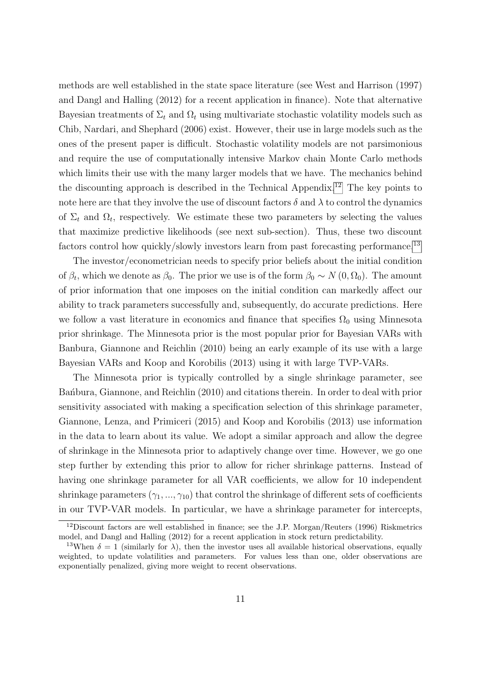methods are well established in the state space literature (see West and Harrison (1997) and Dangl and Halling (2012) for a recent application in finance). Note that alternative Bayesian treatments of  $\Sigma_t$  and  $\Omega_t$  using multivariate stochastic volatility models such as Chib, Nardari, and Shephard (2006) exist. However, their use in large models such as the ones of the present paper is difficult. Stochastic volatility models are not parsimonious and require the use of computationally intensive Markov chain Monte Carlo methods which limits their use with the many larger models that we have. The mechanics behind the discounting approach is described in the Technical Appendix.[12](#page-11-0) The key points to note here are that they involve the use of discount factors  $\delta$  and  $\lambda$  to control the dynamics of  $\Sigma_t$  and  $\Omega_t$ , respectively. We estimate these two parameters by selecting the values that maximize predictive likelihoods (see next sub-section). Thus, these two discount factors control how quickly/slowly investors learn from past forecasting performance.<sup>[13](#page-11-1)</sup>

The investor/econometrician needs to specify prior beliefs about the initial condition of  $\beta_t$ , which we denote as  $\beta_0$ . The prior we use is of the form  $\beta_0 \sim N(0, \Omega_0)$ . The amount of prior information that one imposes on the initial condition can markedly affect our ability to track parameters successfully and, subsequently, do accurate predictions. Here we follow a vast literature in economics and finance that specifies  $\Omega_0$  using Minnesota prior shrinkage. The Minnesota prior is the most popular prior for Bayesian VARs with Banbura, Giannone and Reichlin (2010) being an early example of its use with a large Bayesian VARs and Koop and Korobilis (2013) using it with large TVP-VARs.

The Minnesota prior is typically controlled by a single shrinkage parameter, see Ban´bura, Giannone, and Reichlin (2010) and citations therein. In order to deal with prior sensitivity associated with making a specification selection of this shrinkage parameter, Giannone, Lenza, and Primiceri (2015) and Koop and Korobilis (2013) use information in the data to learn about its value. We adopt a similar approach and allow the degree of shrinkage in the Minnesota prior to adaptively change over time. However, we go one step further by extending this prior to allow for richer shrinkage patterns. Instead of having one shrinkage parameter for all VAR coefficients, we allow for 10 independent shrinkage parameters  $(\gamma_1, ..., \gamma_{10})$  that control the shrinkage of different sets of coefficients in our TVP-VAR models. In particular, we have a shrinkage parameter for intercepts,

<span id="page-11-0"></span><sup>&</sup>lt;sup>12</sup>Discount factors are well established in finance; see the J.P. Morgan/Reuters (1996) Riskmetrics model, and Dangl and Halling (2012) for a recent application in stock return predictability.

<span id="page-11-1"></span><sup>&</sup>lt;sup>13</sup>When  $\delta = 1$  (similarly for  $\lambda$ ), then the investor uses all available historical observations, equally weighted, to update volatilities and parameters. For values less than one, older observations are exponentially penalized, giving more weight to recent observations.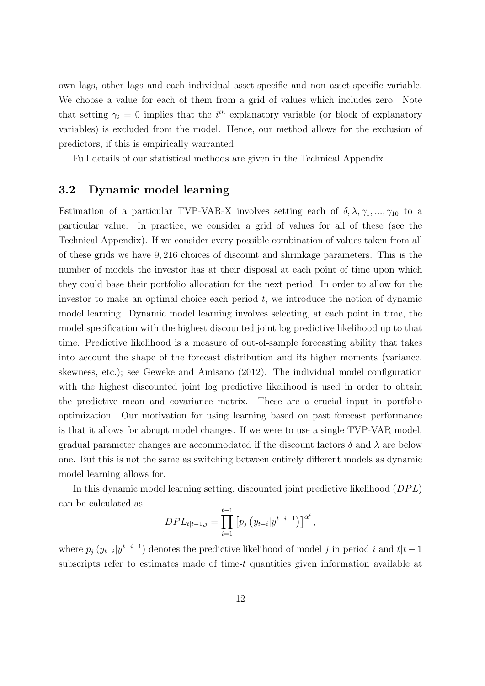own lags, other lags and each individual asset-specific and non asset-specific variable. We choose a value for each of them from a grid of values which includes zero. Note that setting  $\gamma_i = 0$  implies that the i<sup>th</sup> explanatory variable (or block of explanatory variables) is excluded from the model. Hence, our method allows for the exclusion of predictors, if this is empirically warranted.

Full details of our statistical methods are given in the Technical Appendix.

### 3.2 Dynamic model learning

Estimation of a particular TVP-VAR-X involves setting each of  $\delta, \lambda, \gamma_1, ..., \gamma_{10}$  to a particular value. In practice, we consider a grid of values for all of these (see the Technical Appendix). If we consider every possible combination of values taken from all of these grids we have 9, 216 choices of discount and shrinkage parameters. This is the number of models the investor has at their disposal at each point of time upon which they could base their portfolio allocation for the next period. In order to allow for the investor to make an optimal choice each period  $t$ , we introduce the notion of dynamic model learning. Dynamic model learning involves selecting, at each point in time, the model specification with the highest discounted joint log predictive likelihood up to that time. Predictive likelihood is a measure of out-of-sample forecasting ability that takes into account the shape of the forecast distribution and its higher moments (variance, skewness, etc.); see Geweke and Amisano (2012). The individual model configuration with the highest discounted joint log predictive likelihood is used in order to obtain the predictive mean and covariance matrix. These are a crucial input in portfolio optimization. Our motivation for using learning based on past forecast performance is that it allows for abrupt model changes. If we were to use a single TVP-VAR model, gradual parameter changes are accommodated if the discount factors  $\delta$  and  $\lambda$  are below one. But this is not the same as switching between entirely different models as dynamic model learning allows for.

In this dynamic model learning setting, discounted joint predictive likelihood  $(DPL)$ can be calculated as

$$
DPL_{t|t-1,j} = \prod_{i=1}^{t-1} [p_j (y_{t-i}|y^{t-i-1})]^{\alpha^i},
$$

where  $p_j(y_{t-i}|y^{t-i-1})$  denotes the predictive likelihood of model j in period i and  $t|t-1$ subscripts refer to estimates made of time-t quantities given information available at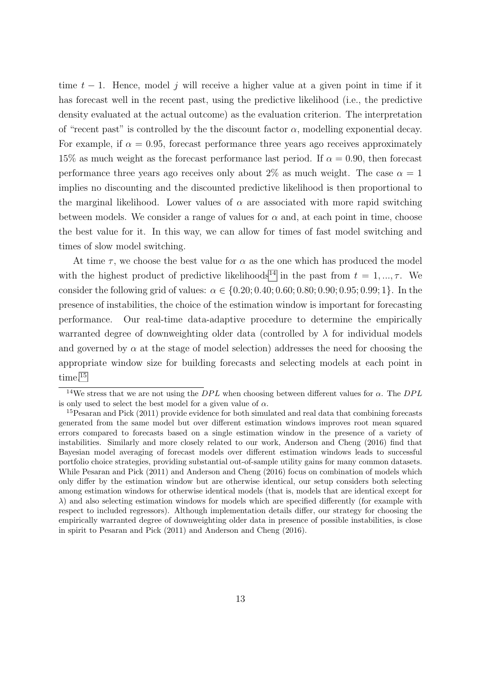time  $t - 1$ . Hence, model j will receive a higher value at a given point in time if it has forecast well in the recent past, using the predictive likelihood (i.e., the predictive density evaluated at the actual outcome) as the evaluation criterion. The interpretation of "recent past" is controlled by the the discount factor  $\alpha$ , modelling exponential decay. For example, if  $\alpha = 0.95$ , forecast performance three years ago receives approximately 15% as much weight as the forecast performance last period. If  $\alpha = 0.90$ , then forecast performance three years ago receives only about 2\% as much weight. The case  $\alpha = 1$ implies no discounting and the discounted predictive likelihood is then proportional to the marginal likelihood. Lower values of  $\alpha$  are associated with more rapid switching between models. We consider a range of values for  $\alpha$  and, at each point in time, choose the best value for it. In this way, we can allow for times of fast model switching and times of slow model switching.

At time  $\tau$ , we choose the best value for  $\alpha$  as the one which has produced the model with the highest product of predictive likelihoods<sup>[14](#page-13-0)</sup> in the past from  $t = 1, ..., \tau$ . We consider the following grid of values:  $\alpha \in \{0.20; 0.40; 0.60; 0.80; 0.90; 0.95; 0.99; 1\}$ . In the presence of instabilities, the choice of the estimation window is important for forecasting performance. Our real-time data-adaptive procedure to determine the empirically warranted degree of downweighting older data (controlled by  $\lambda$  for individual models and governed by  $\alpha$  at the stage of model selection) addresses the need for choosing the appropriate window size for building forecasts and selecting models at each point in time.[15](#page-13-1)

<span id="page-13-0"></span><sup>&</sup>lt;sup>14</sup>We stress that we are not using the  $DPL$  when choosing between different values for  $\alpha$ . The  $DPL$ is only used to select the best model for a given value of  $\alpha$ .

<span id="page-13-1"></span><sup>&</sup>lt;sup>15</sup>Pesaran and Pick (2011) provide evidence for both simulated and real data that combining forecasts generated from the same model but over different estimation windows improves root mean squared errors compared to forecasts based on a single estimation window in the presence of a variety of instabilities. Similarly and more closely related to our work, Anderson and Cheng (2016) find that Bayesian model averaging of forecast models over different estimation windows leads to successful portfolio choice strategies, providing substantial out-of-sample utility gains for many common datasets. While Pesaran and Pick (2011) and Anderson and Cheng (2016) focus on combination of models which only differ by the estimation window but are otherwise identical, our setup considers both selecting among estimation windows for otherwise identical models (that is, models that are identical except for  $\lambda$ ) and also selecting estimation windows for models which are specified differently (for example with respect to included regressors). Although implementation details differ, our strategy for choosing the empirically warranted degree of downweighting older data in presence of possible instabilities, is close in spirit to Pesaran and Pick (2011) and Anderson and Cheng (2016).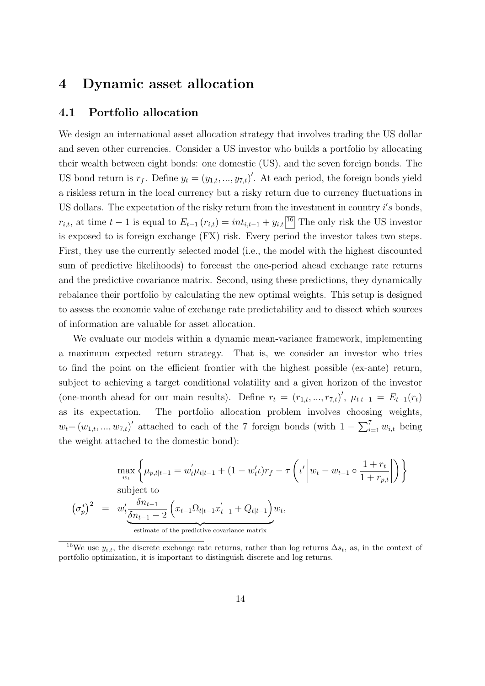# 4 Dynamic asset allocation

### 4.1 Portfolio allocation

We design an international asset allocation strategy that involves trading the US dollar and seven other currencies. Consider a US investor who builds a portfolio by allocating their wealth between eight bonds: one domestic (US), and the seven foreign bonds. The US bond return is  $r_f$ . Define  $y_t = (y_{1,t}, ..., y_{7,t})'$ . At each period, the foreign bonds yield a riskless return in the local currency but a risky return due to currency fluctuations in US dollars. The expectation of the risky return from the investment in country  $i's$  bonds,  $r_{i,t}$ , at time  $t-1$  is equal to  $E_{t-1}(r_{i,t}) = int_{i,t-1} + y_{i,t}$ .<sup>[16](#page-14-0)</sup> The only risk the US investor is exposed to is foreign exchange (FX) risk. Every period the investor takes two steps. First, they use the currently selected model (i.e., the model with the highest discounted sum of predictive likelihoods) to forecast the one-period ahead exchange rate returns and the predictive covariance matrix. Second, using these predictions, they dynamically rebalance their portfolio by calculating the new optimal weights. This setup is designed to assess the economic value of exchange rate predictability and to dissect which sources of information are valuable for asset allocation.

We evaluate our models within a dynamic mean-variance framework, implementing a maximum expected return strategy. That is, we consider an investor who tries to find the point on the efficient frontier with the highest possible (ex-ante) return, subject to achieving a target conditional volatility and a given horizon of the investor (one-month ahead for our main results). Define  $r_t = (r_{1,t},...,r_{7,t})'$ ,  $\mu_{t|t-1} = E_{t-1}(r_t)$ as its expectation. The portfolio allocation problem involves choosing weights,  $w_t = (w_{1,t}, ..., w_{7,t})'$  attached to each of the 7 foreign bonds (with  $1 - \sum_{i=1}^{7} w_{i,t}$  being the weight attached to the domestic bond):

$$
\max_{w_t} \left\{ \mu_{p,t|t-1} = w'_t \mu_{t|t-1} + (1 - w'_t \nu) r_f - \tau \left( \iota' \left| w_t - w_{t-1} \circ \frac{1 + r_t}{1 + r_{p,t}} \right| \right) \right\}
$$
\nsubject to\n
$$
\left( \sigma_p^* \right)^2 = w'_t \frac{\delta n_{t-1}}{\delta n_{t-1} - 2} \left( x_{t-1} \Omega_{t|t-1} x'_{t-1} + Q_{t|t-1} \right) w_t,
$$
\n
$$
\text{estimate of the predictive covariance matrix}
$$

<span id="page-14-0"></span><sup>16</sup>We use  $y_{i,t}$ , the discrete exchange rate returns, rather than log returns  $\Delta s_t$ , as, in the context of portfolio optimization, it is important to distinguish discrete and log returns.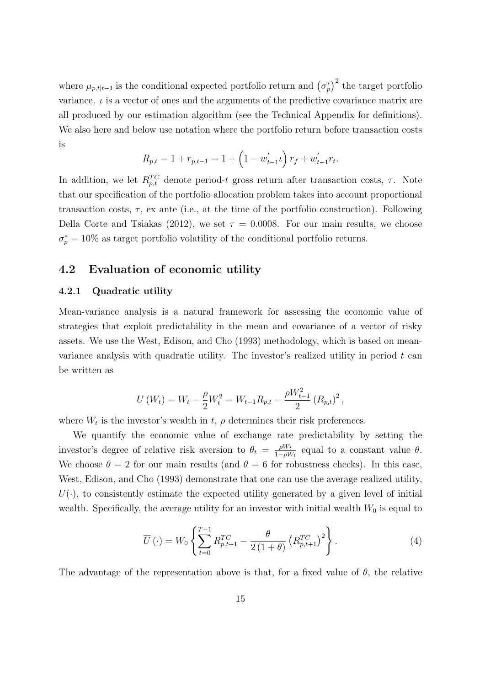where  $\mu_{p,t|t-1}$  is the conditional expected portfolio return and  $(\sigma_p^*)^2$  the target portfolio variance.  $\iota$  is a vector of ones and the arguments of the predictive covariance matrix are all produced by our estimation algorithm (see the Technical Appendix for definitions). We also here and below use notation where the portfolio return before transaction costs is

$$
R_{p,t} = 1 + r_{p,t-1} = 1 + \left(1 - w'_{t-1}t\right) r_f + w'_{t-1}r_t.
$$

In addition, we let  $R_{p,t}^{TC}$  denote period-t gross return after transaction costs,  $\tau$ . Note that our specification of the portfolio allocation problem takes into account proportional transaction costs,  $\tau$ , ex ante (i.e., at the time of the portfolio construction). Following Della Corte and Tsiakas (2012), we set  $\tau = 0.0008$ . For our main results, we choose  $\sigma_p^* = 10\%$  as target portfolio volatility of the conditional portfolio returns.

### 4.2 Evaluation of economic utility

#### 4.2.1 Quadratic utility

Mean-variance analysis is a natural framework for assessing the economic value of strategies that exploit predictability in the mean and covariance of a vector of risky assets. We use the West, Edison, and Cho (1993) methodology, which is based on meanvariance analysis with quadratic utility. The investor's realized utility in period  $t$  can be written as

$$
U(W_t) = W_t - \frac{\rho}{2}W_t^2 = W_{t-1}R_{p,t} - \frac{\rho W_{t-1}^2}{2}(R_{p,t})^2,
$$

where  $W_t$  is the investor's wealth in t,  $\rho$  determines their risk preferences.

We quantify the economic value of exchange rate predictability by setting the investor's degree of relative risk aversion to  $\theta_t = \frac{\rho W_t}{1 - \rho W_t}$  $\frac{\rho W_t}{1-\rho W_t}$  equal to a constant value  $\theta$ . We choose  $\theta = 2$  for our main results (and  $\theta = 6$  for robustness checks). In this case, West, Edison, and Cho (1993) demonstrate that one can use the average realized utility,  $U(\cdot)$ , to consistently estimate the expected utility generated by a given level of initial wealth. Specifically, the average utility for an investor with initial wealth  $W_0$  is equal to

$$
\overline{U}(\cdot) = W_0 \left\{ \sum_{t=0}^{T-1} R_{p,t+1}^{TC} - \frac{\theta}{2(1+\theta)} \left( R_{p,t+1}^{TC} \right)^2 \right\}.
$$
 (4)

The advantage of the representation above is that, for a fixed value of  $\theta$ , the relative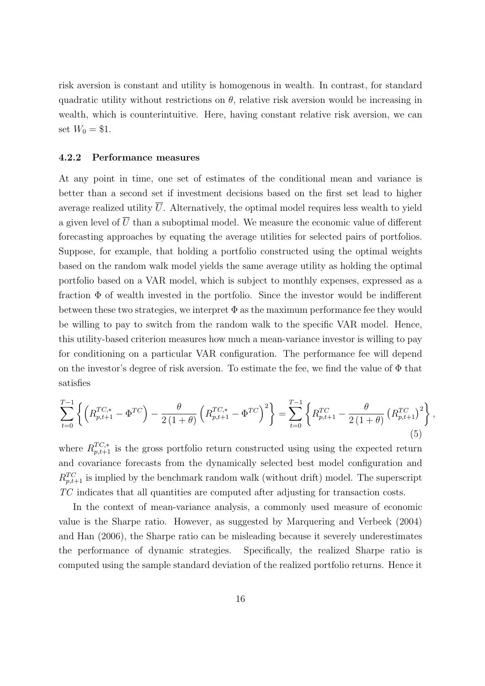risk aversion is constant and utility is homogenous in wealth. In contrast, for standard quadratic utility without restrictions on  $\theta$ , relative risk aversion would be increasing in wealth, which is counterintuitive. Here, having constant relative risk aversion, we can set  $W_0 = $1$ .

#### 4.2.2 Performance measures

At any point in time, one set of estimates of the conditional mean and variance is better than a second set if investment decisions based on the first set lead to higher average realized utility  $\overline{U}$ . Alternatively, the optimal model requires less wealth to yield a given level of  $\overline{U}$  than a suboptimal model. We measure the economic value of different forecasting approaches by equating the average utilities for selected pairs of portfolios. Suppose, for example, that holding a portfolio constructed using the optimal weights based on the random walk model yields the same average utility as holding the optimal portfolio based on a VAR model, which is subject to monthly expenses, expressed as a fraction Φ of wealth invested in the portfolio. Since the investor would be indifferent between these two strategies, we interpret  $\Phi$  as the maximum performance fee they would be willing to pay to switch from the random walk to the specific VAR model. Hence, this utility-based criterion measures how much a mean-variance investor is willing to pay for conditioning on a particular VAR configuration. The performance fee will depend on the investor's degree of risk aversion. To estimate the fee, we find the value of Φ that satisfies

$$
\sum_{t=0}^{T-1} \left\{ \left( R_{p,t+1}^{TC,*} - \Phi^{TC} \right) - \frac{\theta}{2(1+\theta)} \left( R_{p,t+1}^{TC,*} - \Phi^{TC} \right)^2 \right\} = \sum_{t=0}^{T-1} \left\{ R_{p,t+1}^{TC} - \frac{\theta}{2(1+\theta)} \left( R_{p,t+1}^{TC} \right)^2 \right\},\tag{5}
$$

where  $R_{p,t+1}^{TC,*}$  is the gross portfolio return constructed using using the expected return and covariance forecasts from the dynamically selected best model configuration and  $R_{p,t+1}^{TC}$  is implied by the benchmark random walk (without drift) model. The superscript TC indicates that all quantities are computed after adjusting for transaction costs.

In the context of mean-variance analysis, a commonly used measure of economic value is the Sharpe ratio. However, as suggested by Marquering and Verbeek (2004) and Han (2006), the Sharpe ratio can be misleading because it severely underestimates the performance of dynamic strategies. Specifically, the realized Sharpe ratio is computed using the sample standard deviation of the realized portfolio returns. Hence it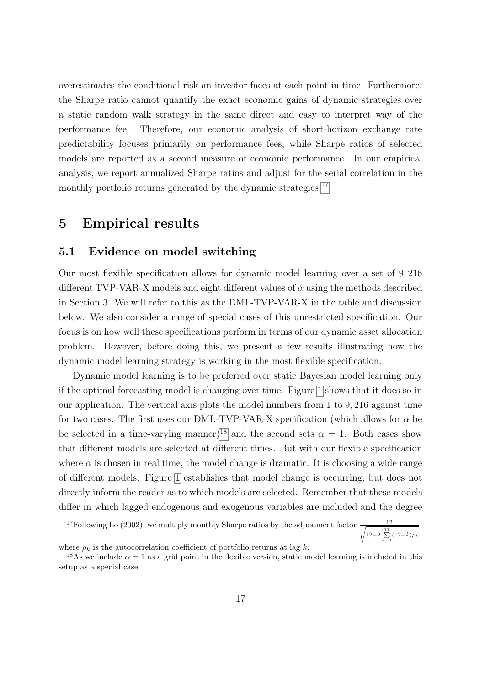overestimates the conditional risk an investor faces at each point in time. Furthermore, the Sharpe ratio cannot quantify the exact economic gains of dynamic strategies over a static random walk strategy in the same direct and easy to interpret way of the performance fee. Therefore, our economic analysis of short-horizon exchange rate predictability focuses primarily on performance fees, while Sharpe ratios of selected models are reported as a second measure of economic performance. In our empirical analysis, we report annualized Sharpe ratios and adjust for the serial correlation in the monthly portfolio returns generated by the dynamic strategies.<sup>[17](#page-17-0)</sup>

## 5 Empirical results

### 5.1 Evidence on model switching

Our most flexible specification allows for dynamic model learning over a set of 9, 216 different TVP-VAR-X models and eight different values of  $\alpha$  using the methods described in Section 3. We will refer to this as the DML-TVP-VAR-X in the table and discussion below. We also consider a range of special cases of this unrestricted specification. Our focus is on how well these specifications perform in terms of our dynamic asset allocation problem. However, before doing this, we present a few results illustrating how the dynamic model learning strategy is working in the most flexible specification.

Dynamic model learning is to be preferred over static Bayesian model learning only if the optimal forecasting model is changing over time. Figure [1](#page-18-0) shows that it does so in our application. The vertical axis plots the model numbers from 1 to 9, 216 against time for two cases. The first uses our DML-TVP-VAR-X specification (which allows for  $\alpha$  be be selected in a time-varying manner)<sup>[18](#page-17-1)</sup> and the second sets  $\alpha = 1$ . Both cases show that different models are selected at different times. But with our flexible specification where  $\alpha$  is chosen in real time, the model change is dramatic. It is choosing a wide range of different models. Figure [1](#page-18-0) establishes that model change is occurring, but does not directly inform the reader as to which models are selected. Remember that these models differ in which lagged endogenous and exogenous variables are included and the degree

<span id="page-17-0"></span><sup>&</sup>lt;sup>17</sup>Following Lo (2002), we multiply monthly Sharpe ratios by the adjustment factor  $\frac{12}{\sqrt{1-\frac{11}{n}}}$  $12+2\sum_{k=1}^{11}(12-k)\rho_k$ ,

where  $\rho_k$  is the autocorrelation coefficient of portfolio returns at lag k.

<span id="page-17-1"></span><sup>&</sup>lt;sup>18</sup>As we include  $\alpha = 1$  as a grid point in the flexible version, static model learning is included in this setup as a special case.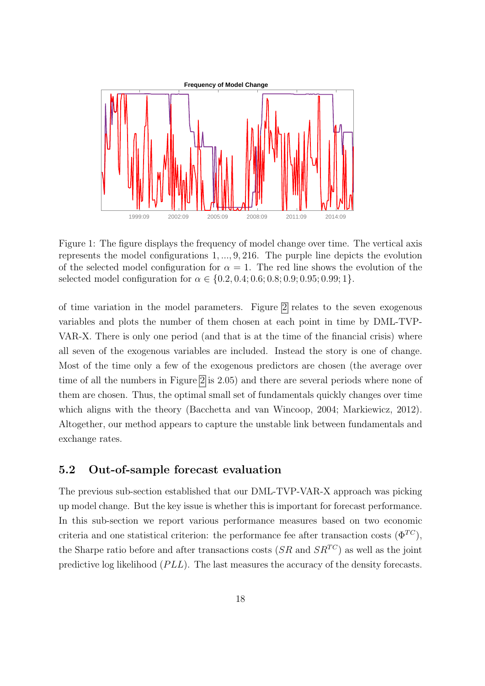

<span id="page-18-0"></span>Figure 1: The figure displays the frequency of model change over time. The vertical axis represents the model configurations 1, ..., 9, 216. The purple line depicts the evolution of the selected model configuration for  $\alpha = 1$ . The red line shows the evolution of the selected model configuration for  $\alpha \in \{0.2, 0.4; 0.6; 0.8; 0.9; 0.95; 0.99; 1\}.$ 

of time variation in the model parameters. Figure [2](#page-19-0) relates to the seven exogenous variables and plots the number of them chosen at each point in time by DML-TVP-VAR-X. There is only one period (and that is at the time of the financial crisis) where all seven of the exogenous variables are included. Instead the story is one of change. Most of the time only a few of the exogenous predictors are chosen (the average over time of all the numbers in Figure [2](#page-19-0) is 2.05) and there are several periods where none of them are chosen. Thus, the optimal small set of fundamentals quickly changes over time which aligns with the theory (Bacchetta and van Wincoop, 2004; Markiewicz, 2012). Altogether, our method appears to capture the unstable link between fundamentals and exchange rates.

### 5.2 Out-of-sample forecast evaluation

The previous sub-section established that our DML-TVP-VAR-X approach was picking up model change. But the key issue is whether this is important for forecast performance. In this sub-section we report various performance measures based on two economic criteria and one statistical criterion: the performance fee after transaction costs  $(\Phi^{TC})$ , the Sharpe ratio before and after transactions costs  $(SR \text{ and } SR^{TC})$  as well as the joint predictive log likelihood  $(PLL)$ . The last measures the accuracy of the density forecasts.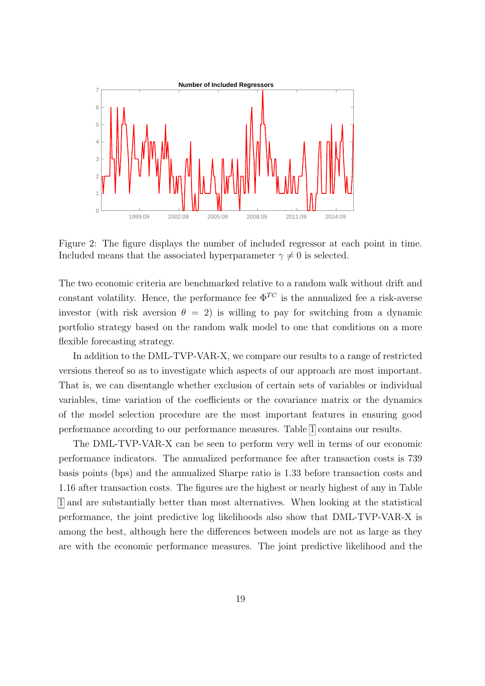

<span id="page-19-0"></span>Figure 2: The figure displays the number of included regressor at each point in time. Included means that the associated hyperparameter  $\gamma \neq 0$  is selected.

The two economic criteria are benchmarked relative to a random walk without drift and constant volatility. Hence, the performance fee  $\Phi^{TC}$  is the annualized fee a risk-averse investor (with risk aversion  $\theta = 2$ ) is willing to pay for switching from a dynamic portfolio strategy based on the random walk model to one that conditions on a more flexible forecasting strategy.

In addition to the DML-TVP-VAR-X, we compare our results to a range of restricted versions thereof so as to investigate which aspects of our approach are most important. That is, we can disentangle whether exclusion of certain sets of variables or individual variables, time variation of the coefficients or the covariance matrix or the dynamics of the model selection procedure are the most important features in ensuring good performance according to our performance measures. Table [1](#page-20-0) contains our results.

The DML-TVP-VAR-X can be seen to perform very well in terms of our economic performance indicators. The annualized performance fee after transaction costs is 739 basis points (bps) and the annualized Sharpe ratio is 1.33 before transaction costs and 1.16 after transaction costs. The figures are the highest or nearly highest of any in Table [1](#page-20-0) and are substantially better than most alternatives. When looking at the statistical performance, the joint predictive log likelihoods also show that DML-TVP-VAR-X is among the best, although here the differences between models are not as large as they are with the economic performance measures. The joint predictive likelihood and the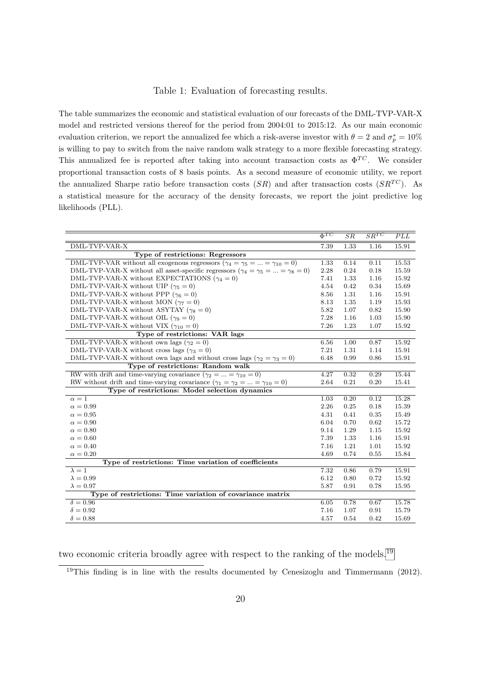#### <span id="page-20-0"></span>Table 1: Evaluation of forecasting results.

The table summarizes the economic and statistical evaluation of our forecasts of the DML-TVP-VAR-X model and restricted versions thereof for the period from 2004:01 to 2015:12. As our main economic evaluation criterion, we report the annualized fee which a risk-averse investor with  $\theta = 2$  and  $\sigma_p^* = 10\%$ is willing to pay to switch from the naive random walk strategy to a more flexible forecasting strategy. This annualized fee is reported after taking into account transaction costs as  $\Phi^{TC}$ . We consider proportional transaction costs of 8 basis points. As a second measure of economic utility, we report the annualized Sharpe ratio before transaction costs  $(SR)$  and after transaction costs  $(SR<sup>TC</sup>)$ . As a statistical measure for the accuracy of the density forecasts, we report the joint predictive log likelihoods (PLL).

|                                                                                                 | $\overline{\Phi^{TC}}$ | $\overline{SR}$   | $SR^{TC}$ | PLL   |
|-------------------------------------------------------------------------------------------------|------------------------|-------------------|-----------|-------|
| DML-TVP-VAR-X                                                                                   | 7.39                   | $1.\overline{33}$ | 1.16      | 15.91 |
| Type of restrictions: Regressors                                                                |                        |                   |           |       |
| DML-TVP-VAR without all exogenous regressors ( $\gamma_4 = \gamma_5 =  = \gamma_{10} = 0$ )     | 1.33                   | 0.14              | 0.11      | 15.53 |
| DML-TVP-VAR-X without all asset-specific regressors ( $\gamma_4 = \gamma_5 =  = \gamma_8 = 0$ ) | 2.28                   | 0.24              | 0.18      | 15.59 |
| DML-TVP-VAR-X without EXPECTATIONS ( $\gamma_4 = 0$ )                                           | 7.41                   | 1.33              | 1.16      | 15.92 |
| DML-TVP-VAR-X without UIP ( $\gamma_5 = 0$ )                                                    | 4.54                   | 0.42              | 0.34      | 15.69 |
| DML-TVP-VAR-X without PPP ( $\gamma_6 = 0$ )                                                    | 8.56                   | 1.31              | 1.16      | 15.91 |
| DML-TVP-VAR-X without MON ( $\gamma_7 = 0$ )                                                    | 8.13                   | 1.35              | 1.19      | 15.93 |
| DML-TVP-VAR-X without ASYTAY ( $\gamma_8 = 0$ )                                                 | 5.82                   | 1.07              | 0.82      | 15.90 |
| DML-TVP-VAR-X without OIL ( $\gamma_9 = 0$ )                                                    | 7.28                   | 1.16              | 1.03      | 15.90 |
| DML-TVP-VAR-X without VIX ( $\gamma_{10} = 0$ )                                                 | 7.26                   | 1.23              | 1.07      | 15.92 |
| Type of restrictions: VAR lags                                                                  |                        |                   |           |       |
| DML-TVP-VAR-X without own lags ( $\gamma_2 = 0$ )                                               | 6.56                   | 1.00              | 0.87      | 15.92 |
| DML-TVP-VAR-X without cross lags ( $\gamma_3 = 0$ )                                             | 7.21                   | 1.31              | 1.14      | 15.91 |
| DML-TVP-VAR-X without own lags and without cross lags ( $\gamma_2 = \gamma_3 = 0$ )             | 6.48                   | 0.99              | 0.86      | 15.91 |
| Type of restrictions: Random walk                                                               |                        |                   |           |       |
| RW with drift and time-varying covariance $(\gamma_2 =  = \gamma_{10} = 0)$                     | 4.27                   | 0.32              | 0.29      | 15.44 |
| RW without drift and time-varying covariance $(\gamma_1 = \gamma_2 =  = \gamma_{10} = 0)$       | 2.64                   | 0.21              | 0.20      | 15.41 |
| Type of restrictions: Model selection dynamics                                                  |                        |                   |           |       |
| $\alpha=1$                                                                                      | 1.03                   | 0.20              | 0.12      | 15.28 |
| $\alpha = 0.99$                                                                                 | 2.26                   | 0.25              | 0.18      | 15.39 |
| $\alpha = 0.95$                                                                                 | 4.31                   | 0.41              | 0.35      | 15.49 |
| $\alpha = 0.90$                                                                                 | 6.04                   | 0.70              | 0.62      | 15.72 |
| $\alpha = 0.80$                                                                                 | 9.14                   | 1.29              | 1.15      | 15.92 |
| $\alpha = 0.60$                                                                                 | 7.39                   | 1.33              | 1.16      | 15.91 |
| $\alpha = 0.40$                                                                                 | 7.16                   | 1.21              | 1.01      | 15.92 |
| $\alpha=0.20$                                                                                   | 4.69                   | 0.74              | 0.55      | 15.84 |
| Type of restrictions: Time variation of coefficients                                            |                        |                   |           |       |
| $\lambda = 1$                                                                                   | 7.32                   | 0.86              | 0.79      | 15.91 |
| $\lambda = 0.99$                                                                                | 6.12                   | 0.80              | 0.72      | 15.92 |
| $\lambda = 0.97$                                                                                | 5.87                   | 0.91              | 0.78      | 15.95 |
| Type of restrictions: Time variation of covariance matrix                                       |                        |                   |           |       |
| $\delta = 0.96$                                                                                 | 6.05                   | 0.78              | 0.67      | 15.78 |
| $\delta = 0.92$                                                                                 | 7.16                   | 1.07              | 0.91      | 15.79 |
| $\delta = 0.88$                                                                                 | 4.57                   | 0.54              | 0.42      | 15.69 |

two economic criteria broadly agree with respect to the ranking of the models.<sup>[19](#page-20-1)</sup>

<span id="page-20-1"></span> $19$ This finding is in line with the results documented by Cenesizoglu and Timmermann (2012).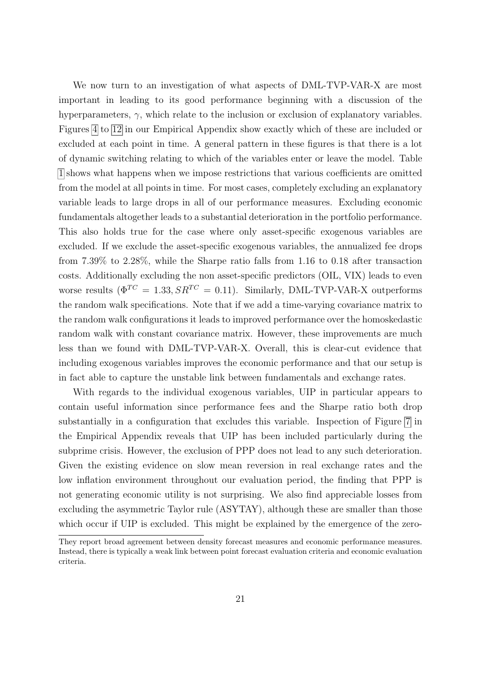We now turn to an investigation of what aspects of DML-TVP-VAR-X are most important in leading to its good performance beginning with a discussion of the hyperparameters,  $\gamma$ , which relate to the inclusion or exclusion of explanatory variables. Figures [4](#page-40-0) to [12](#page-44-0) in our Empirical Appendix show exactly which of these are included or excluded at each point in time. A general pattern in these figures is that there is a lot of dynamic switching relating to which of the variables enter or leave the model. Table [1](#page-20-0) shows what happens when we impose restrictions that various coefficients are omitted from the model at all points in time. For most cases, completely excluding an explanatory variable leads to large drops in all of our performance measures. Excluding economic fundamentals altogether leads to a substantial deterioration in the portfolio performance. This also holds true for the case where only asset-specific exogenous variables are excluded. If we exclude the asset-specific exogenous variables, the annualized fee drops from 7.39% to 2.28%, while the Sharpe ratio falls from 1.16 to 0.18 after transaction costs. Additionally excluding the non asset-specific predictors (OIL, VIX) leads to even worse results ( $\Phi^{TC} = 1.33$ ,  $SR^{TC} = 0.11$ ). Similarly, DML-TVP-VAR-X outperforms the random walk specifications. Note that if we add a time-varying covariance matrix to the random walk configurations it leads to improved performance over the homoskedastic random walk with constant covariance matrix. However, these improvements are much less than we found with DML-TVP-VAR-X. Overall, this is clear-cut evidence that including exogenous variables improves the economic performance and that our setup is in fact able to capture the unstable link between fundamentals and exchange rates.

With regards to the individual exogenous variables, UIP in particular appears to contain useful information since performance fees and the Sharpe ratio both drop substantially in a configuration that excludes this variable. Inspection of Figure [7](#page-42-0) in the Empirical Appendix reveals that UIP has been included particularly during the subprime crisis. However, the exclusion of PPP does not lead to any such deterioration. Given the existing evidence on slow mean reversion in real exchange rates and the low inflation environment throughout our evaluation period, the finding that PPP is not generating economic utility is not surprising. We also find appreciable losses from excluding the asymmetric Taylor rule (ASYTAY), although these are smaller than those which occur if UIP is excluded. This might be explained by the emergence of the zero-

They report broad agreement between density forecast measures and economic performance measures. Instead, there is typically a weak link between point forecast evaluation criteria and economic evaluation criteria.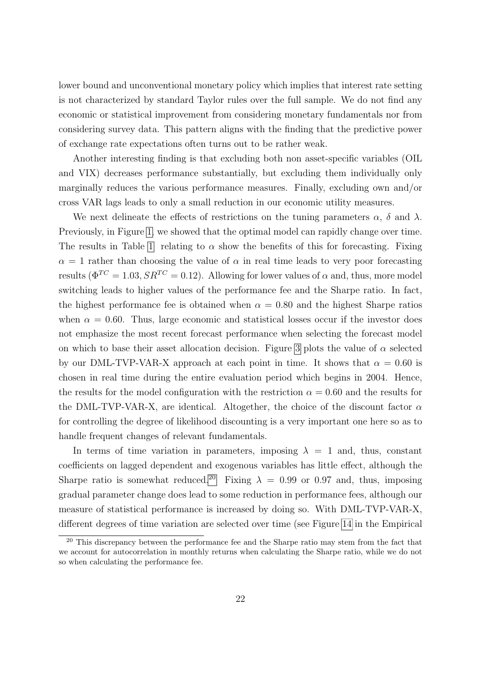lower bound and unconventional monetary policy which implies that interest rate setting is not characterized by standard Taylor rules over the full sample. We do not find any economic or statistical improvement from considering monetary fundamentals nor from considering survey data. This pattern aligns with the finding that the predictive power of exchange rate expectations often turns out to be rather weak.

Another interesting finding is that excluding both non asset-specific variables (OIL and VIX) decreases performance substantially, but excluding them individually only marginally reduces the various performance measures. Finally, excluding own and/or cross VAR lags leads to only a small reduction in our economic utility measures.

We next delineate the effects of restrictions on the tuning parameters  $\alpha$ ,  $\delta$  and  $\lambda$ . Previously, in Figure [1,](#page-18-0) we showed that the optimal model can rapidly change over time. The results in Table [1](#page-20-0) relating to  $\alpha$  show the benefits of this for forecasting. Fixing  $\alpha = 1$  rather than choosing the value of  $\alpha$  in real time leads to very poor forecasting results ( $\Phi^{TC} = 1.03$ ,  $SR^{TC} = 0.12$ ). Allowing for lower values of  $\alpha$  and, thus, more model switching leads to higher values of the performance fee and the Sharpe ratio. In fact, the highest performance fee is obtained when  $\alpha = 0.80$  and the highest Sharpe ratios when  $\alpha = 0.60$ . Thus, large economic and statistical losses occur if the investor does not emphasize the most recent forecast performance when selecting the forecast model on which to base their asset allocation decision. Figure [3](#page-23-0) plots the value of  $\alpha$  selected by our DML-TVP-VAR-X approach at each point in time. It shows that  $\alpha = 0.60$  is chosen in real time during the entire evaluation period which begins in 2004. Hence, the results for the model configuration with the restriction  $\alpha = 0.60$  and the results for the DML-TVP-VAR-X, are identical. Altogether, the choice of the discount factor  $\alpha$ for controlling the degree of likelihood discounting is a very important one here so as to handle frequent changes of relevant fundamentals.

In terms of time variation in parameters, imposing  $\lambda = 1$  and, thus, constant coefficients on lagged dependent and exogenous variables has little effect, although the Sharpe ratio is somewhat reduced.<sup>[20](#page-22-0)</sup> Fixing  $\lambda = 0.99$  or 0.97 and, thus, imposing gradual parameter change does lead to some reduction in performance fees, although our measure of statistical performance is increased by doing so. With DML-TVP-VAR-X, different degrees of time variation are selected over time (see Figure [14](#page-45-0) in the Empirical

<span id="page-22-0"></span><sup>&</sup>lt;sup>20</sup> This discrepancy between the performance fee and the Sharpe ratio may stem from the fact that we account for autocorrelation in monthly returns when calculating the Sharpe ratio, while we do not so when calculating the performance fee.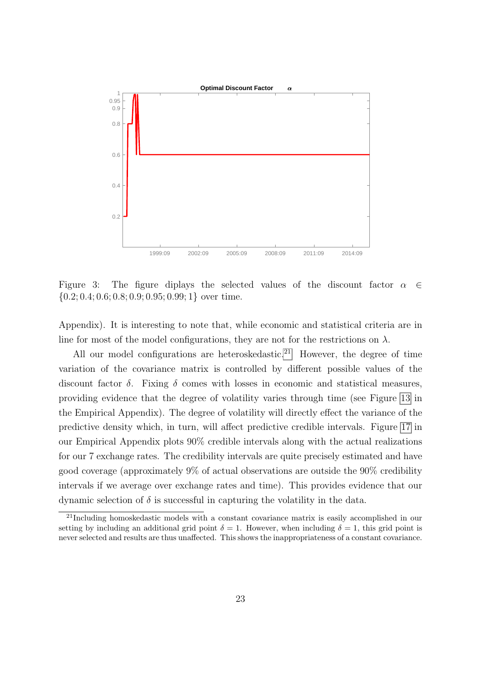

<span id="page-23-0"></span>Figure 3: The figure diplays the selected values of the discount factor  $\alpha \in \mathbb{R}$  $\{0.2; 0.4; 0.6; 0.8; 0.9; 0.95; 0.99; 1\}$  over time.

Appendix). It is interesting to note that, while economic and statistical criteria are in line for most of the model configurations, they are not for the restrictions on  $\lambda$ .

All our model configurations are heteroskedastic.<sup>[21](#page-23-1)</sup> However, the degree of time variation of the covariance matrix is controlled by different possible values of the discount factor  $\delta$ . Fixing  $\delta$  comes with losses in economic and statistical measures, providing evidence that the degree of volatility varies through time (see Figure [13](#page-45-1) in the Empirical Appendix). The degree of volatility will directly effect the variance of the predictive density which, in turn, will affect predictive credible intervals. Figure [17](#page-47-0) in our Empirical Appendix plots 90% credible intervals along with the actual realizations for our 7 exchange rates. The credibility intervals are quite precisely estimated and have good coverage (approximately 9% of actual observations are outside the 90% credibility intervals if we average over exchange rates and time). This provides evidence that our dynamic selection of  $\delta$  is successful in capturing the volatility in the data.

<span id="page-23-1"></span><sup>21</sup>Including homoskedastic models with a constant covariance matrix is easily accomplished in our setting by including an additional grid point  $\delta = 1$ . However, when including  $\delta = 1$ , this grid point is never selected and results are thus unaffected. This shows the inappropriateness of a constant covariance.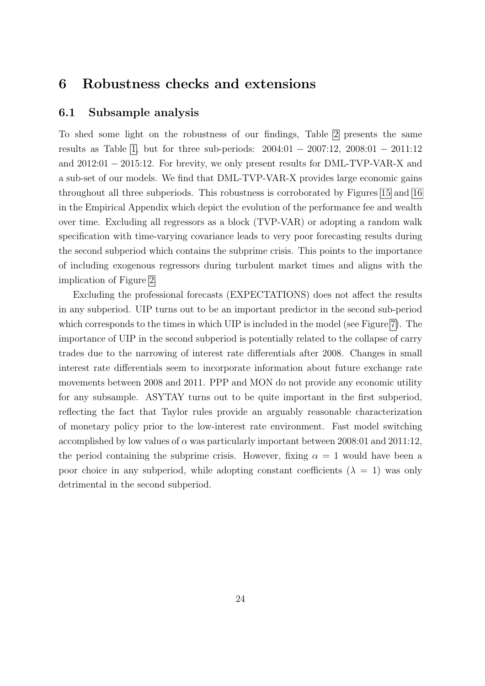### 6 Robustness checks and extensions

### 6.1 Subsample analysis

To shed some light on the robustness of our findings, Table [2](#page-25-0) presents the same results as Table [1,](#page-20-0) but for three sub-periods: 2004:01 − 2007:12, 2008:01 − 2011:12 and 2012:01 − 2015:12. For brevity, we only present results for DML-TVP-VAR-X and a sub-set of our models. We find that DML-TVP-VAR-X provides large economic gains throughout all three subperiods. This robustness is corroborated by Figures [15](#page-46-0) and [16](#page-46-1) in the Empirical Appendix which depict the evolution of the performance fee and wealth over time. Excluding all regressors as a block (TVP-VAR) or adopting a random walk specification with time-varying covariance leads to very poor forecasting results during the second subperiod which contains the subprime crisis. This points to the importance of including exogenous regressors during turbulent market times and aligns with the implication of Figure [2.](#page-19-0)

Excluding the professional forecasts (EXPECTATIONS) does not affect the results in any subperiod. UIP turns out to be an important predictor in the second sub-period which corresponds to the times in which UIP is included in the model (see Figure [7\)](#page-42-0). The importance of UIP in the second subperiod is potentially related to the collapse of carry trades due to the narrowing of interest rate differentials after 2008. Changes in small interest rate differentials seem to incorporate information about future exchange rate movements between 2008 and 2011. PPP and MON do not provide any economic utility for any subsample. ASYTAY turns out to be quite important in the first subperiod, reflecting the fact that Taylor rules provide an arguably reasonable characterization of monetary policy prior to the low-interest rate environment. Fast model switching accomplished by low values of  $\alpha$  was particularly important between 2008:01 and 2011:12, the period containing the subprime crisis. However, fixing  $\alpha = 1$  would have been a poor choice in any subperiod, while adopting constant coefficients  $(\lambda = 1)$  was only detrimental in the second subperiod.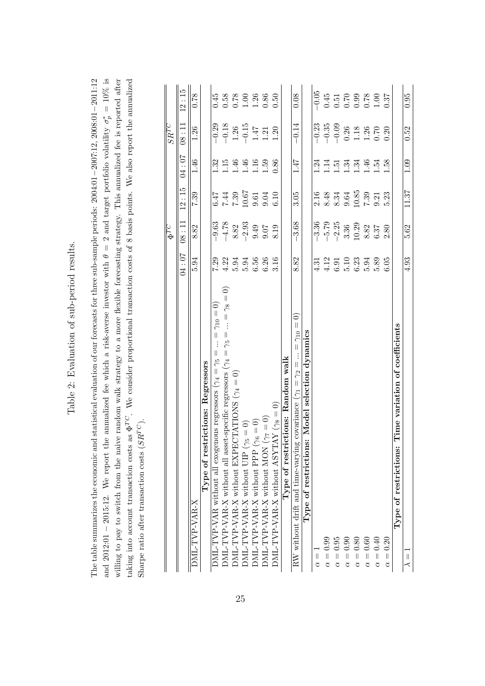| ١<br>I<br>١<br>í                   |
|------------------------------------|
| I<br>١                             |
| l<br>I<br>l<br>$\overline{a}$<br>I |
| ļ<br>١                             |
| ֠<br>ľ<br>í<br>I<br>١              |
| ı                                  |
| I<br>l                             |
| j<br>I<br>l<br>$\overline{a}$<br>l |
|                                    |
|                                    |
|                                    |
| l                                  |
|                                    |
|                                    |

<span id="page-25-0"></span>The table summarizes the economic and statistical evaluation of our forecasts for three sub-sample periods:  $2004:01-2007:12$ ,  $2008:01-2011:12$ and 2012:01 – 2015:12. We report the annualized fee which a risk-averse investor with  $\theta = 2$  and target portfolio volatility  $\sigma_p^* = 10\%$  is willing to pay to switch from the naive random walk strategy to a more flexible forecasting strategy. This annualized fee is reported after and 2012:01 − 2015:12. We report the annualized fee which a risk-averse investor with  $\theta = 2$  and target portfolio volatility  $\sigma_p^* = 10\%$  is taking into account transaction costs as  $\Phi^{TC}$ . We consider proportional transaction costs of 8 basis points. We also report the annualized The table summarizes the economic and statistical evaluation of our forecasts for three sub-sample periods: 2004:01−2007:12, 2008:01−2011:12 willing to pay to switch from the naive random walk strategy to a more flexible forecasting strategy. This annualized fee is reported after taking into account transaction costs as  $\Phi^{TC}$ . We consider proportional transaction costs of 8 basis points. We also report the annualized Sharpe ratio after transaction costs ( $SR^{TC}$ ). Sharpe ratio after transaction costs  $(SR^{TC})$ .

|                                                                                                                                     |                                       | $\overline{\Phi^{TC}}$                      |                                      |                            | $\overline{S R^{TC}}$                                       |                                                             |
|-------------------------------------------------------------------------------------------------------------------------------------|---------------------------------------|---------------------------------------------|--------------------------------------|----------------------------|-------------------------------------------------------------|-------------------------------------------------------------|
|                                                                                                                                     | 70:10                                 | 08:11                                       | 12:15                                | 04:07                      | 08:11                                                       | 12:15                                                       |
| DML-TVP-VAR-X                                                                                                                       | 5.94                                  | 8.82                                        | 7.39                                 | 1.46                       | 1.26                                                        | 0.78                                                        |
| Type of restrictions: Regressors                                                                                                    |                                       |                                             |                                      |                            |                                                             |                                                             |
| $= \gamma_{10} = 0$<br>$\vdots$<br>$\mid \mid$<br>DML-TVP-VAR without all exogenous regressors ( $\gamma_4 = \gamma_5$              | 7.29                                  | $-9.63$                                     |                                      |                            | $-0.29$                                                     | 0.45                                                        |
| $\widehat{\circ}$<br><code>DML-TVP-VAR-X</code> without all asset-specific regressors ( $\gamma_4 = \gamma_5 = \ldots = \gamma_8 =$ | 4.22                                  | $-4.78$                                     |                                      | $\frac{32}{15}$            | $-0.18$                                                     | 0.58                                                        |
| CTATIONS $(\gamma_4=0)$<br>DML-TVP-VAR-X without EXPE                                                                               | 5.94                                  | 8.82                                        |                                      |                            |                                                             |                                                             |
| $\text{DML-TVP-VAR-X without UIP } (\gamma_5 = 0)$                                                                                  |                                       |                                             | 5<br>1500<br>1500<br>1700<br>1700    | $1.46$<br>$1.16$<br>$1.59$ | $\frac{1.26}{-0.15}$                                        | $\begin{array}{c} 0.78 \\ 1.00 \\ 1.36 \\ 0.86 \end{array}$ |
| $(\gamma_6 = 0)$<br><b>DML-TVP-VAR-X without PPP</b>                                                                                | 5.94<br>6.56                          | $-2.93$<br>9.49                             |                                      |                            |                                                             |                                                             |
| $DML$ -TVP-VAR-X without MON ( $\gamma_7 = 0$ )                                                                                     | 6.26                                  | 9.07                                        |                                      |                            | 1.21                                                        |                                                             |
| $\text{OML-TVP-VAR-X without ASYTAY } (\gamma_8=0)$                                                                                 | 3.16                                  | 8.19                                        | 6.10                                 | 0.86                       | 1.20                                                        | 0.50                                                        |
| Type of restrictions: Random walk                                                                                                   |                                       |                                             |                                      |                            |                                                             |                                                             |
| $\widehat{\circ}$<br>RW without drift and time-varying covariance ( $\gamma_1 = \gamma_2 =  = \gamma_{10} =$                        | 8.82                                  | $-3.68$                                     | 3.05                                 | 1.47                       | $-0.14$                                                     | 0.08                                                        |
| Type of restrictions: Model selection dynamics                                                                                      |                                       |                                             |                                      |                            |                                                             |                                                             |
| $\alpha =$                                                                                                                          | $\frac{3}{4}$                         | $-3.36$                                     |                                      | $\ddot{c}$                 | $-0.23$                                                     | $-0.05$                                                     |
| $\alpha = 0.99$                                                                                                                     |                                       | $-5.79$                                     |                                      | $\ddot{=}$                 | $-0.35$                                                     |                                                             |
| $\alpha = 0.95$                                                                                                                     |                                       | $-2.25$                                     |                                      | $\ddot{5}$                 | $-0.09$                                                     |                                                             |
| 0.90<br>$\alpha =$                                                                                                                  | $4.12$<br>$6.10$<br>$6.23$<br>$6.394$ | 3.36                                        | $2.48$<br>$8.34$<br>$9.64$<br>$9.64$ | $\cdot$ <sup>34</sup>      | $\begin{array}{c} 0.26 \\ 1.18 \\ 1.26 \\ 0.70 \end{array}$ | 0.51<br>0.51<br>0.000<br>0.000<br>0.000                     |
| $\alpha = 0.80$                                                                                                                     |                                       | 10.29                                       | 10.85                                | $\ddot{34}$                |                                                             |                                                             |
| 0.60<br>$\alpha =$                                                                                                                  |                                       |                                             | $7.39\,$                             | $\ddot{ }$                 |                                                             |                                                             |
| $\alpha=0.40$                                                                                                                       | 5.89                                  | $\begin{array}{c} 8.82 \\ 6.37 \end{array}$ | 9.21                                 | rġ.                        |                                                             |                                                             |
| 0.20<br>$\alpha =$                                                                                                                  | 6.05                                  | 2.80                                        | 5.23                                 | 1.58                       | 0.20                                                        | 0.37                                                        |
| Time variation of coefficients<br>Type of restrictions:                                                                             |                                       |                                             |                                      |                            |                                                             |                                                             |
| $\frac{1}{\sim}$                                                                                                                    | 4.93                                  | 5.62                                        | 11.37                                | 1.09                       | 0.52                                                        | 0.95                                                        |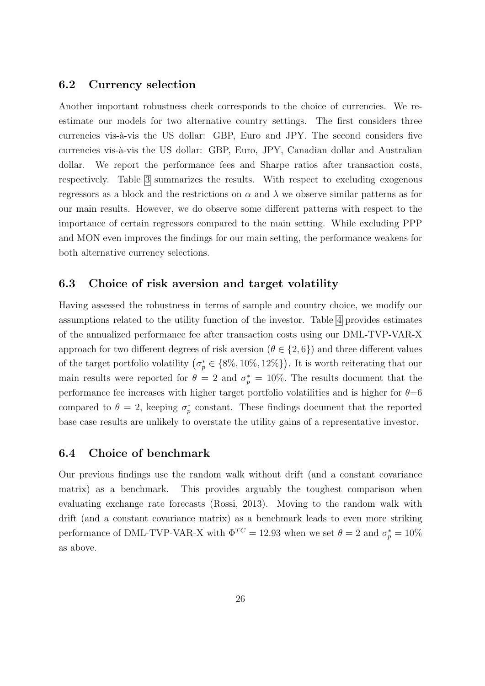#### 6.2 Currency selection

Another important robustness check corresponds to the choice of currencies. We reestimate our models for two alternative country settings. The first considers three currencies vis-à-vis the US dollar: GBP, Euro and JPY. The second considers five currencies vis-à-vis the US dollar: GBP, Euro, JPY, Canadian dollar and Australian dollar. We report the performance fees and Sharpe ratios after transaction costs, respectively. Table [3](#page-27-0) summarizes the results. With respect to excluding exogenous regressors as a block and the restrictions on  $\alpha$  and  $\lambda$  we observe similar patterns as for our main results. However, we do observe some different patterns with respect to the importance of certain regressors compared to the main setting. While excluding PPP and MON even improves the findings for our main setting, the performance weakens for both alternative currency selections.

### 6.3 Choice of risk aversion and target volatility

Having assessed the robustness in terms of sample and country choice, we modify our assumptions related to the utility function of the investor. Table [4](#page-28-0) provides estimates of the annualized performance fee after transaction costs using our DML-TVP-VAR-X approach for two different degrees of risk aversion ( $\theta \in \{2, 6\}$ ) and three different values of the target portfolio volatility  $(\sigma_p^* \in \{8\%, 10\%, 12\%\})$ . It is worth reiterating that our main results were reported for  $\theta = 2$  and  $\sigma_p^* = 10\%$ . The results document that the performance fee increases with higher target portfolio volatilities and is higher for  $\theta$ =6 compared to  $\theta = 2$ , keeping  $\sigma_p^*$  constant. These findings document that the reported base case results are unlikely to overstate the utility gains of a representative investor.

### 6.4 Choice of benchmark

Our previous findings use the random walk without drift (and a constant covariance matrix) as a benchmark. This provides arguably the toughest comparison when evaluating exchange rate forecasts (Rossi, 2013). Moving to the random walk with drift (and a constant covariance matrix) as a benchmark leads to even more striking performance of DML-TVP-VAR-X with  $\Phi^{TC} = 12.93$  when we set  $\theta = 2$  and  $\sigma_p^* = 10\%$ as above.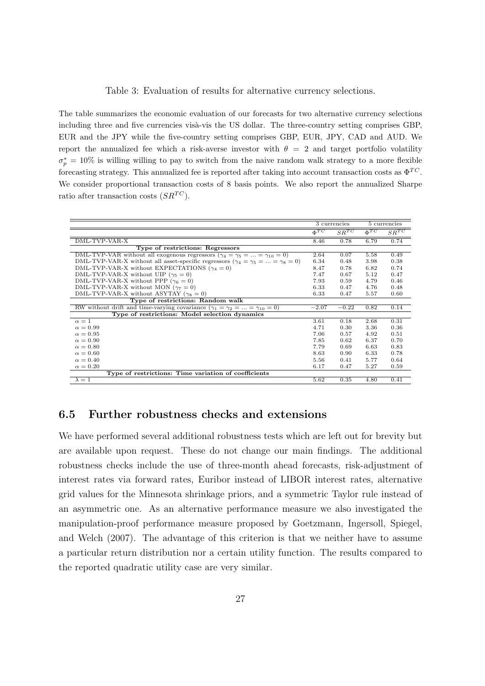#### <span id="page-27-0"></span>Table 3: Evaluation of results for alternative currency selections.

The table summarizes the economic evaluation of our forecasts for two alternative currency selections including three and five currencies visà-vis the US dollar. The three-country setting comprises GBP, EUR and the JPY while the five-country setting comprises GBP, EUR, JPY, CAD and AUD. We report the annualized fee which a risk-averse investor with  $\theta = 2$  and target portfolio volatility  $\sigma_p^* = 10\%$  is willing willing to pay to switch from the naive random walk strategy to a more flexible forecasting strategy. This annualized fee is reported after taking into account transaction costs as  $\Phi^{TC}$ . We consider proportional transaction costs of 8 basis points. We also report the annualized Sharpe ratio after transaction costs  $(SR^{TC})$ .

|                                                                                                 | 3 currencies |           | 5 currencies |           |
|-------------------------------------------------------------------------------------------------|--------------|-----------|--------------|-----------|
|                                                                                                 | $\Phi^{TC}$  | $SR^{TC}$ | $\Phi^{TC}$  | $SR^{TC}$ |
| DML-TVP-VAR-X                                                                                   | 8.46         | 0.78      | 6.79         | 0.74      |
| Type of restrictions: Regressors                                                                |              |           |              |           |
| DML-TVP-VAR without all exogenous regressors $(\gamma_4 = \gamma_5 =  = \gamma_{10} = 0)$       | 2.64         | 0.07      | 5.58         | 0.49      |
| DML-TVP-VAR-X without all asset-specific regressors ( $\gamma_4 = \gamma_5 =  = \gamma_8 = 0$ ) | 6.34         | 0.48      | 3.98         | 0.38      |
| DML-TVP-VAR-X without EXPECTATIONS ( $\gamma_4 = 0$ )                                           | 8.47         | 0.78      | 6.82         | 0.74      |
| DML-TVP-VAR-X without UIP ( $\gamma_5 = 0$ )                                                    | 7.47         | 0.67      | 5.12         | 0.47      |
| DML-TVP-VAR-X without PPP ( $\gamma_6 = 0$ )                                                    | 7.93         | 0.59      | 4.79         | 0.46      |
| DML-TVP-VAR-X without MON ( $\gamma_7 = 0$ )                                                    | 6.33         | 0.47      | 4.76         | 0.48      |
| DML-TVP-VAR-X without ASYTAY ( $\gamma_8 = 0$ )                                                 | 6.33         | 0.47      | 5.57         | 0.60      |
| Type of restrictions: Random walk                                                               |              |           |              |           |
| RW without drift and time-varying covariance $(\gamma_1 = \gamma_2 =  = \gamma_{10} = 0)$       | $-2.07$      | $-0.22$   | 0.82         | 0.14      |
| Type of restrictions: Model selection dynamics                                                  |              |           |              |           |
| $\alpha=1$                                                                                      | 3.61         | 0.18      | 2.68         | 0.31      |
| $\alpha = 0.99$                                                                                 | 4.71         | 0.30      | 3.36         | 0.36      |
| $\alpha = 0.95$                                                                                 | 7.06         | 0.57      | 4.92         | 0.51      |
| $\alpha = 0.90$                                                                                 | 7.85         | 0.62      | 6.37         | 0.70      |
| $\alpha = 0.80$                                                                                 | 7.79         | 0.69      | 6.63         | 0.83      |
| $\alpha = 0.60$                                                                                 | 8.63         | 0.90      | 6.33         | 0.78      |
| $\alpha = 0.40$                                                                                 | 5.56         | 0.41      | 5.77         | 0.64      |
| $\alpha = 0.20$                                                                                 | 6.17         | 0.47      | 5.27         | 0.59      |
| Type of restrictions: Time variation of coefficients                                            |              |           |              |           |
| $\lambda=1$                                                                                     | 5.62         | 0.35      | 4.80         | 0.41      |

### 6.5 Further robustness checks and extensions

We have performed several additional robustness tests which are left out for brevity but are available upon request. These do not change our main findings. The additional robustness checks include the use of three-month ahead forecasts, risk-adjustment of interest rates via forward rates, Euribor instead of LIBOR interest rates, alternative grid values for the Minnesota shrinkage priors, and a symmetric Taylor rule instead of an asymmetric one. As an alternative performance measure we also investigated the manipulation-proof performance measure proposed by Goetzmann, Ingersoll, Spiegel, and Welch (2007). The advantage of this criterion is that we neither have to assume a particular return distribution nor a certain utility function. The results compared to the reported quadratic utility case are very similar.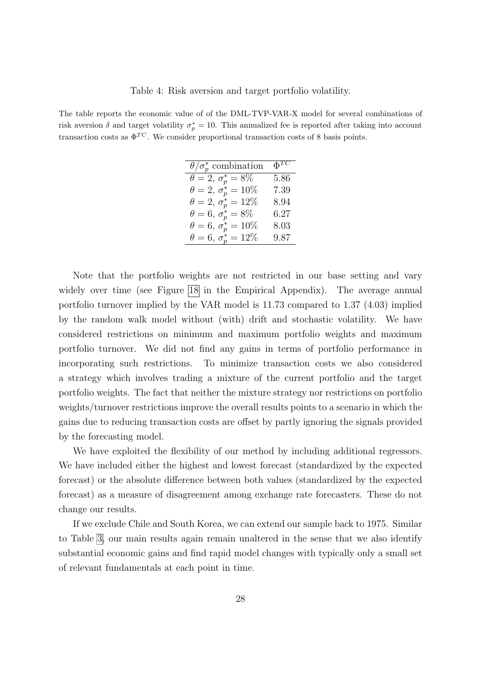The table reports the economic value of of the DML-TVP-VAR-X model for several combinations of risk aversion  $\delta$  and target volatility  $\sigma_p^* = 10$ . This annualized fee is reported after taking into account transaction costs as  $\Phi^{TC}$ . We consider proportional transaction costs of 8 basis points.

<span id="page-28-0"></span>

| $\theta/\sigma_p^*$ combination   | $\Phi^{TC}$ |
|-----------------------------------|-------------|
| $\theta = 2, \, \sigma_p^* = 8\%$ | 5.86        |
| $\theta = 2, \sigma_p^* = 10\%$   | 7.39        |
| $\theta = 2, \sigma_p^* = 12\%$   | 8.94        |
| $\theta = 6, \, \sigma_p^* = 8\%$ | $6.27\,$    |
| $\theta = 6, \ \sigma_p^* = 10\%$ | 8.03        |
| $\theta = 6, \sigma_p^* = 12\%$   | 9.87        |

Note that the portfolio weights are not restricted in our base setting and vary widely over time (see Figure [18](#page-48-0) in the Empirical Appendix). The average annual portfolio turnover implied by the VAR model is 11.73 compared to 1.37 (4.03) implied by the random walk model without (with) drift and stochastic volatility. We have considered restrictions on minimum and maximum portfolio weights and maximum portfolio turnover. We did not find any gains in terms of portfolio performance in incorporating such restrictions. To minimize transaction costs we also considered a strategy which involves trading a mixture of the current portfolio and the target portfolio weights. The fact that neither the mixture strategy nor restrictions on portfolio weights/turnover restrictions improve the overall results points to a scenario in which the gains due to reducing transaction costs are offset by partly ignoring the signals provided by the forecasting model.

We have exploited the flexibility of our method by including additional regressors. We have included either the highest and lowest forecast (standardized by the expected forecast) or the absolute difference between both values (standardized by the expected forecast) as a measure of disagreement among exchange rate forecasters. These do not change our results.

If we exclude Chile and South Korea, we can extend our sample back to 1975. Similar to Table [3,](#page-27-0) our main results again remain unaltered in the sense that we also identify substantial economic gains and find rapid model changes with typically only a small set of relevant fundamentals at each point in time.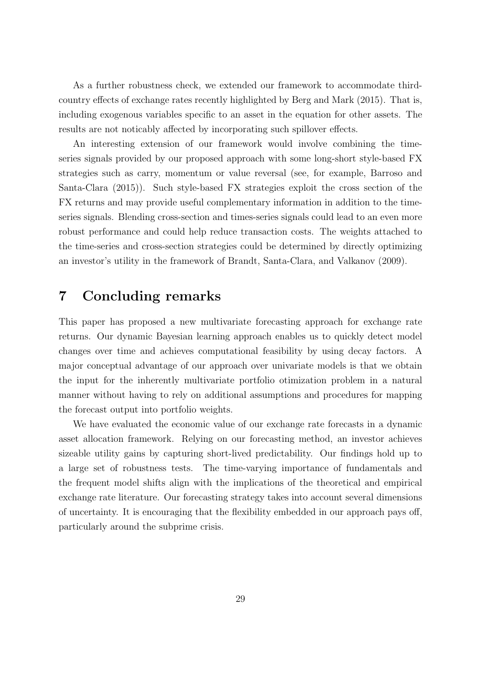As a further robustness check, we extended our framework to accommodate thirdcountry effects of exchange rates recently highlighted by Berg and Mark (2015). That is, including exogenous variables specific to an asset in the equation for other assets. The results are not noticably affected by incorporating such spillover effects.

An interesting extension of our framework would involve combining the timeseries signals provided by our proposed approach with some long-short style-based FX strategies such as carry, momentum or value reversal (see, for example, Barroso and Santa-Clara (2015)). Such style-based FX strategies exploit the cross section of the FX returns and may provide useful complementary information in addition to the timeseries signals. Blending cross-section and times-series signals could lead to an even more robust performance and could help reduce transaction costs. The weights attached to the time-series and cross-section strategies could be determined by directly optimizing an investor's utility in the framework of Brandt, Santa-Clara, and Valkanov (2009).

# 7 Concluding remarks

This paper has proposed a new multivariate forecasting approach for exchange rate returns. Our dynamic Bayesian learning approach enables us to quickly detect model changes over time and achieves computational feasibility by using decay factors. A major conceptual advantage of our approach over univariate models is that we obtain the input for the inherently multivariate portfolio otimization problem in a natural manner without having to rely on additional assumptions and procedures for mapping the forecast output into portfolio weights.

We have evaluated the economic value of our exchange rate forecasts in a dynamic asset allocation framework. Relying on our forecasting method, an investor achieves sizeable utility gains by capturing short-lived predictability. Our findings hold up to a large set of robustness tests. The time-varying importance of fundamentals and the frequent model shifts align with the implications of the theoretical and empirical exchange rate literature. Our forecasting strategy takes into account several dimensions of uncertainty. It is encouraging that the flexibility embedded in our approach pays off, particularly around the subprime crisis.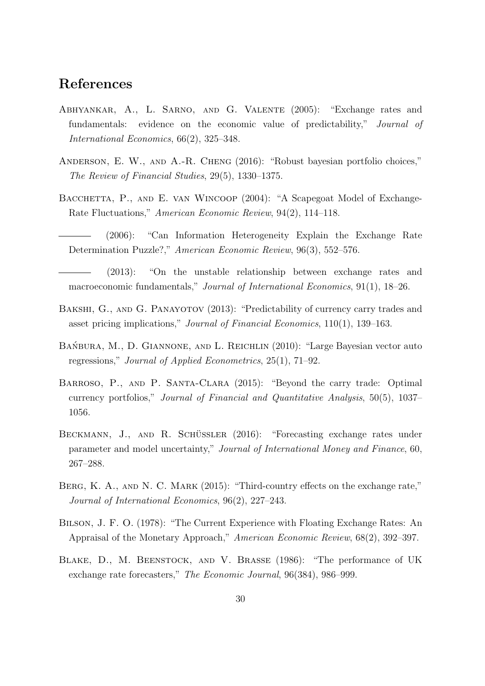# References

- Abhyankar, A., L. Sarno, and G. Valente (2005): "Exchange rates and fundamentals: evidence on the economic value of predictability," Journal of International Economics, 66(2), 325–348.
- Anderson, E. W., and A.-R. Cheng (2016): "Robust bayesian portfolio choices," The Review of Financial Studies, 29(5), 1330–1375.
- BACCHETTA, P., AND E. VAN WINCOOP (2004): "A Scapegoat Model of Exchange-Rate Fluctuations," American Economic Review, 94(2), 114–118.
	- (2006): "Can Information Heterogeneity Explain the Exchange Rate Determination Puzzle?," American Economic Review, 96(3), 552–576.
- (2013): "On the unstable relationship between exchange rates and macroeconomic fundamentals," Journal of International Economics, 91(1), 18–26.
- BAKSHI, G., AND G. PANAYOTOV (2013): "Predictability of currency carry trades and asset pricing implications," Journal of Financial Economics, 110(1), 139–163.
- BAŃBURA, M., D. GIANNONE, AND L. REICHLIN (2010): "Large Bayesian vector auto regressions," Journal of Applied Econometrics, 25(1), 71–92.
- Barroso, P., and P. Santa-Clara (2015): "Beyond the carry trade: Optimal currency portfolios," Journal of Financial and Quantitative Analysis, 50(5), 1037– 1056.
- BECKMANN, J., AND R. SCHÜSSLER (2016): "Forecasting exchange rates under parameter and model uncertainty," Journal of International Money and Finance, 60, 267–288.
- BERG, K. A., AND N. C. MARK (2015): "Third-country effects on the exchange rate," Journal of International Economics, 96(2), 227–243.
- Bilson, J. F. O. (1978): "The Current Experience with Floating Exchange Rates: An Appraisal of the Monetary Approach," American Economic Review, 68(2), 392–397.
- Blake, D., M. Beenstock, and V. Brasse (1986): "The performance of UK exchange rate forecasters," The Economic Journal, 96(384), 986–999.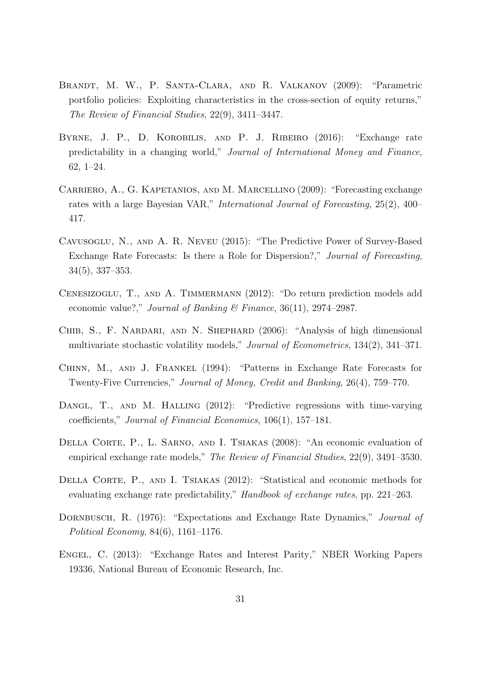- Brandt, M. W., P. Santa-Clara, and R. Valkanov (2009): "Parametric portfolio policies: Exploiting characteristics in the cross-section of equity returns," The Review of Financial Studies, 22(9), 3411–3447.
- Byrne, J. P., D. Korobilis, and P. J. Ribeiro (2016): "Exchange rate predictability in a changing world," Journal of International Money and Finance, 62, 1–24.
- Carriero, A., G. Kapetanios, and M. Marcellino (2009): "Forecasting exchange rates with a large Bayesian VAR," International Journal of Forecasting, 25(2), 400– 417.
- Cavusoglu, N., and A. R. Neveu (2015): "The Predictive Power of Survey-Based Exchange Rate Forecasts: Is there a Role for Dispersion?," Journal of Forecasting, 34(5), 337–353.
- CENESIZOGLU, T., AND A. TIMMERMANN (2012): "Do return prediction models add economic value?," Journal of Banking & Finance,  $36(11)$ ,  $2974-2987$ .
- CHIB, S., F. NARDARI, AND N. SHEPHARD (2006): "Analysis of high dimensional multivariate stochastic volatility models," Journal of Econometrics, 134(2), 341–371.
- Chinn, M., and J. Frankel (1994): "Patterns in Exchange Rate Forecasts for Twenty-Five Currencies," Journal of Money, Credit and Banking, 26(4), 759–770.
- DANGL, T., AND M. HALLING (2012): "Predictive regressions with time-varying coefficients," Journal of Financial Economics, 106(1), 157–181.
- DELLA CORTE, P., L. SARNO, AND I. TSIAKAS (2008): "An economic evaluation of empirical exchange rate models," The Review of Financial Studies, 22(9), 3491–3530.
- DELLA CORTE, P., AND I. TSIAKAS (2012): "Statistical and economic methods for evaluating exchange rate predictability," Handbook of exchange rates, pp. 221–263.
- DORNBUSCH, R. (1976): "Expectations and Exchange Rate Dynamics," Journal of Political Economy, 84(6), 1161–1176.
- Engel, C. (2013): "Exchange Rates and Interest Parity," NBER Working Papers 19336, National Bureau of Economic Research, Inc.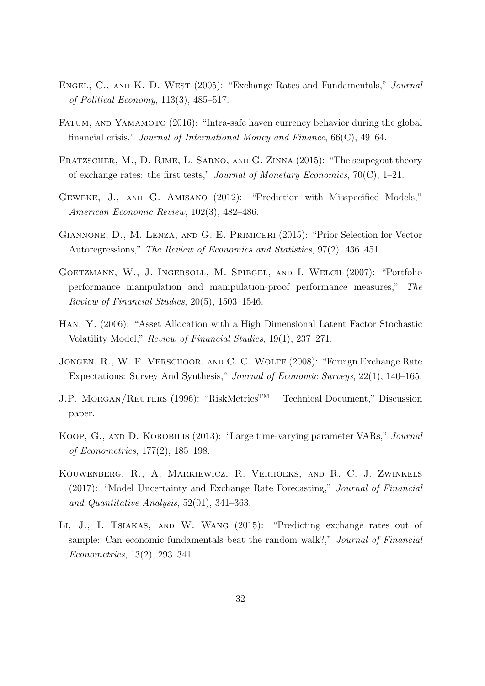- ENGEL, C., AND K. D. WEST (2005): "Exchange Rates and Fundamentals," Journal of Political Economy, 113(3), 485–517.
- Fatum, and Yamamoto (2016): "Intra-safe haven currency behavior during the global financial crisis," Journal of International Money and Finance, 66(C), 49–64.
- Fratzscher, M., D. Rime, L. Sarno, and G. Zinna (2015): "The scapegoat theory of exchange rates: the first tests," Journal of Monetary Economics,  $70(C)$ , 1–21.
- Geweke, J., and G. Amisano (2012): "Prediction with Misspecified Models," American Economic Review, 102(3), 482–486.
- Giannone, D., M. Lenza, and G. E. Primiceri (2015): "Prior Selection for Vector Autoregressions," The Review of Economics and Statistics, 97(2), 436–451.
- Goetzmann, W., J. Ingersoll, M. Spiegel, and I. Welch (2007): "Portfolio performance manipulation and manipulation-proof performance measures," The Review of Financial Studies, 20(5), 1503–1546.
- Han, Y. (2006): "Asset Allocation with a High Dimensional Latent Factor Stochastic Volatility Model," Review of Financial Studies, 19(1), 237–271.
- JONGEN, R., W. F. VERSCHOOR, AND C. C. WOLFF (2008): "Foreign Exchange Rate Expectations: Survey And Synthesis," Journal of Economic Surveys, 22(1), 140–165.
- J.P. MORGAN/REUTERS (1996): "RiskMetrics<sup>TM</sup>— Technical Document," Discussion paper.
- Koop, G., and D. Korobilis (2013): "Large time-varying parameter VARs," Journal of Econometrics, 177(2), 185–198.
- Kouwenberg, R., A. Markiewicz, R. Verhoeks, and R. C. J. Zwinkels (2017): "Model Uncertainty and Exchange Rate Forecasting," Journal of Financial and Quantitative Analysis, 52(01), 341–363.
- Li, J., I. Tsiakas, and W. Wang (2015): "Predicting exchange rates out of sample: Can economic fundamentals beat the random walk?," Journal of Financial Econometrics, 13(2), 293–341.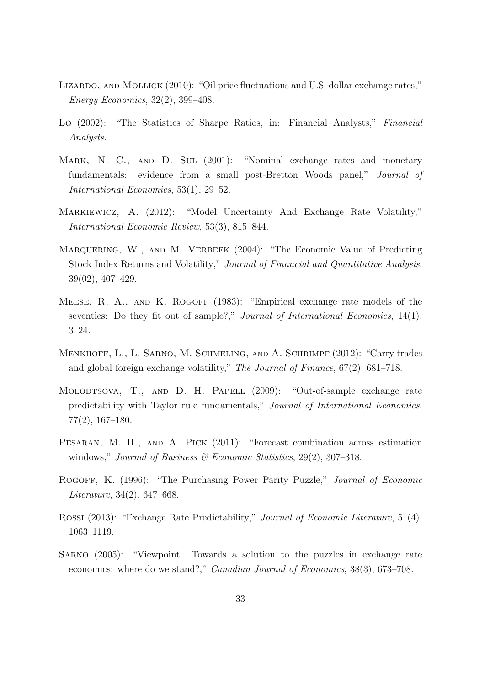- LIZARDO, AND MOLLICK (2010): "Oil price fluctuations and U.S. dollar exchange rates," Energy Economics, 32(2), 399–408.
- Lo (2002): "The Statistics of Sharpe Ratios, in: Financial Analysts," Financial Analysts.
- MARK, N. C., AND D. SUL (2001): "Nominal exchange rates and monetary fundamentals: evidence from a small post-Bretton Woods panel," Journal of International Economics, 53(1), 29–52.
- Markiewicz, A. (2012): "Model Uncertainty And Exchange Rate Volatility," International Economic Review, 53(3), 815–844.
- MARQUERING, W., AND M. VERBEEK (2004): "The Economic Value of Predicting Stock Index Returns and Volatility," Journal of Financial and Quantitative Analysis, 39(02), 407–429.
- MEESE, R. A., AND K. ROGOFF (1983): "Empirical exchange rate models of the seventies: Do they fit out of sample?," *Journal of International Economics*, 14(1), 3–24.
- Menkhoff, L., L. Sarno, M. Schmeling, and A. Schrimpf (2012): "Carry trades and global foreign exchange volatility," The Journal of Finance, 67(2), 681–718.
- MOLODTSOVA, T., AND D. H. PAPELL (2009): "Out-of-sample exchange rate predictability with Taylor rule fundamentals," Journal of International Economics, 77(2), 167–180.
- Pesaran, M. H., and A. Pick (2011): "Forecast combination across estimation windows," Journal of Business  $\mathscr$  Economic Statistics, 29(2), 307–318.
- Rogoff, K. (1996): "The Purchasing Power Parity Puzzle," Journal of Economic Literature, 34(2), 647–668.
- Rossi (2013): "Exchange Rate Predictability," Journal of Economic Literature, 51(4), 1063–1119.
- Sarno (2005): "Viewpoint: Towards a solution to the puzzles in exchange rate economics: where do we stand?," Canadian Journal of Economics, 38(3), 673–708.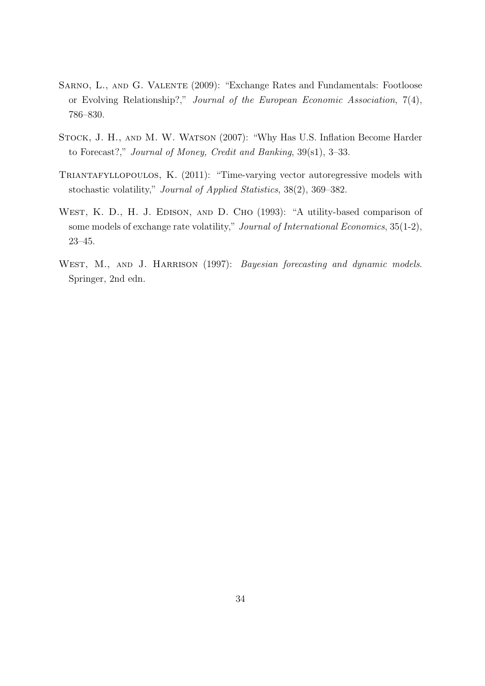- Sarno, L., and G. Valente (2009): "Exchange Rates and Fundamentals: Footloose or Evolving Relationship?," Journal of the European Economic Association, 7(4), 786–830.
- Stock, J. H., and M. W. Watson (2007): "Why Has U.S. Inflation Become Harder to Forecast?," Journal of Money, Credit and Banking, 39(s1), 3–33.
- TRIANTAFYLLOPOULOS, K. (2011): "Time-varying vector autoregressive models with stochastic volatility," Journal of Applied Statistics, 38(2), 369–382.
- WEST, K. D., H. J. EDISON, AND D. CHO (1993): "A utility-based comparison of some models of exchange rate volatility," Journal of International Economics, 35(1-2), 23–45.
- WEST, M., AND J. HARRISON (1997): Bayesian forecasting and dynamic models. Springer, 2nd edn.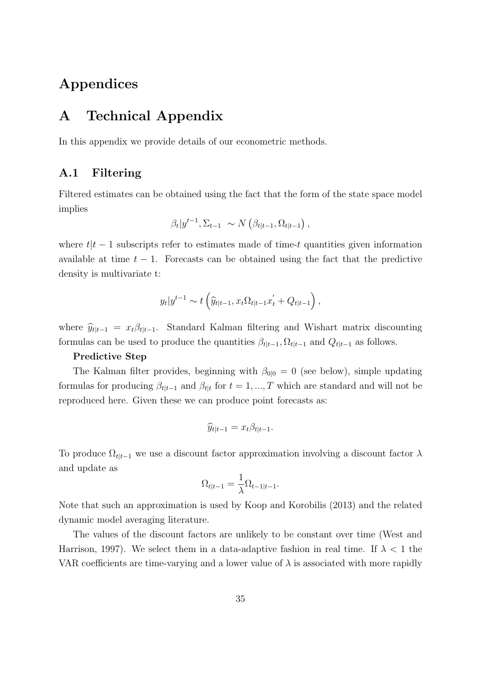# Appendices

# A Technical Appendix

In this appendix we provide details of our econometric methods.

### A.1 Filtering

Filtered estimates can be obtained using the fact that the form of the state space model implies

$$
\beta_t | y^{t-1}, \Sigma_{t-1} \sim N\left(\beta_{t|t-1}, \Omega_{t|t-1}\right),
$$

where  $t|t - 1$  subscripts refer to estimates made of time-t quantities given information available at time  $t - 1$ . Forecasts can be obtained using the fact that the predictive density is multivariate t:

$$
y_t|y^{t-1} \sim t\left(\widehat{y}_{t|t-1}, x_t \Omega_{t|t-1} x_t' + Q_{t|t-1}\right),
$$

where  $\hat{y}_{t|t-1} = x_t \beta_{t|t-1}$ . Standard Kalman filtering and Wishart matrix discounting formulas can be used to produce the quantities  $\beta_{t|t-1}, \Omega_{t|t-1}$  and  $Q_{t|t-1}$  as follows.

#### Predictive Step

The Kalman filter provides, beginning with  $\beta_{0|0} = 0$  (see below), simple updating formulas for producing  $\beta_{t|t-1}$  and  $\beta_{t|t}$  for  $t = 1, ..., T$  which are standard and will not be reproduced here. Given these we can produce point forecasts as:

$$
\widehat{y}_{t|t-1} = x_t \beta_{t|t-1}.
$$

To produce  $\Omega_{t|t-1}$  we use a discount factor approximation involving a discount factor  $\lambda$ and update as

$$
\Omega_{t|t-1} = \frac{1}{\lambda} \Omega_{t-1|t-1}.
$$

Note that such an approximation is used by Koop and Korobilis (2013) and the related dynamic model averaging literature.

The values of the discount factors are unlikely to be constant over time (West and Harrison, 1997). We select them in a data-adaptive fashion in real time. If  $\lambda < 1$  the VAR coefficients are time-varying and a lower value of  $\lambda$  is associated with more rapidly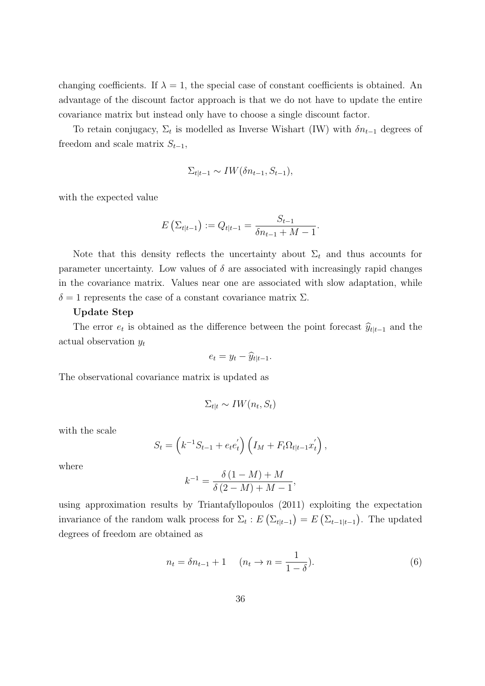changing coefficients. If  $\lambda = 1$ , the special case of constant coefficients is obtained. An advantage of the discount factor approach is that we do not have to update the entire covariance matrix but instead only have to choose a single discount factor.

To retain conjugacy,  $\Sigma_t$  is modelled as Inverse Wishart (IW) with  $\delta n_{t-1}$  degrees of freedom and scale matrix  $S_{t-1}$ ,

$$
\Sigma_{t|t-1} \sim IW(\delta n_{t-1}, S_{t-1}),
$$

with the expected value

$$
E\left(\Sigma_{t|t-1}\right) := Q_{t|t-1} = \frac{S_{t-1}}{\delta n_{t-1} + M - 1}.
$$

Note that this density reflects the uncertainty about  $\Sigma_t$  and thus accounts for parameter uncertainty. Low values of  $\delta$  are associated with increasingly rapid changes in the covariance matrix. Values near one are associated with slow adaptation, while  $\delta = 1$  represents the case of a constant covariance matrix  $\Sigma$ .

#### Update Step

The error  $e_t$  is obtained as the difference between the point forecast  $\hat{y}_{t|t-1}$  and the actual observation  $y_t$ 

$$
e_t = y_t - \widehat{y}_{t|t-1}.
$$

The observational covariance matrix is updated as

$$
\Sigma_{t|t} \sim IW(n_t, S_t)
$$

with the scale

$$
S_t = (k^{-1}S_{t-1} + e_t e_t') (I_M + F_t \Omega_{t|t-1} x_t'),
$$

where

$$
k^{-1} = \frac{\delta (1 - M) + M}{\delta (2 - M) + M - 1},
$$

using approximation results by Triantafyllopoulos (2011) exploiting the expectation invariance of the random walk process for  $\Sigma_t$ :  $E\left(\Sigma_{t|t-1}\right) = E\left(\Sigma_{t-1|t-1}\right)$ . The updated degrees of freedom are obtained as

<span id="page-36-0"></span>
$$
n_t = \delta n_{t-1} + 1 \quad (n_t \to n = \frac{1}{1 - \delta}). \tag{6}
$$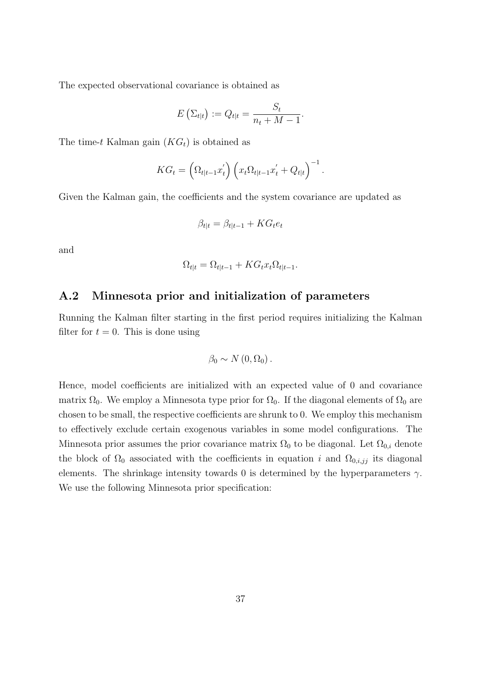The expected observational covariance is obtained as

$$
E\left(\Sigma_{t|t}\right) := Q_{t|t} = \frac{S_t}{n_t + M - 1}.
$$

The time-t Kalman gain  $(KG_t)$  is obtained as

$$
KG_t = \left(\Omega_{t|t-1}x_t'\right)\left(x_t\Omega_{t|t-1}x_t'+Q_{t|t}\right)^{-1}.
$$

Given the Kalman gain, the coefficients and the system covariance are updated as

$$
\beta_{t|t} = \beta_{t|t-1} + KG_t e_t
$$

and

$$
\Omega_{t|t} = \Omega_{t|t-1} + KG_t x_t \Omega_{t|t-1}.
$$

### A.2 Minnesota prior and initialization of parameters

Running the Kalman filter starting in the first period requires initializing the Kalman filter for  $t = 0$ . This is done using

$$
\beta_0 \sim N(0, \Omega_0).
$$

Hence, model coefficients are initialized with an expected value of 0 and covariance matrix  $\Omega_0$ . We employ a Minnesota type prior for  $\Omega_0$ . If the diagonal elements of  $\Omega_0$  are chosen to be small, the respective coefficients are shrunk to 0. We employ this mechanism to effectively exclude certain exogenous variables in some model configurations. The Minnesota prior assumes the prior covariance matrix  $\Omega_0$  to be diagonal. Let  $\Omega_{0,i}$  denote the block of  $\Omega_0$  associated with the coefficients in equation i and  $\Omega_{0,i,jj}$  its diagonal elements. The shrinkage intensity towards 0 is determined by the hyperparameters  $\gamma$ . We use the following Minnesota prior specification: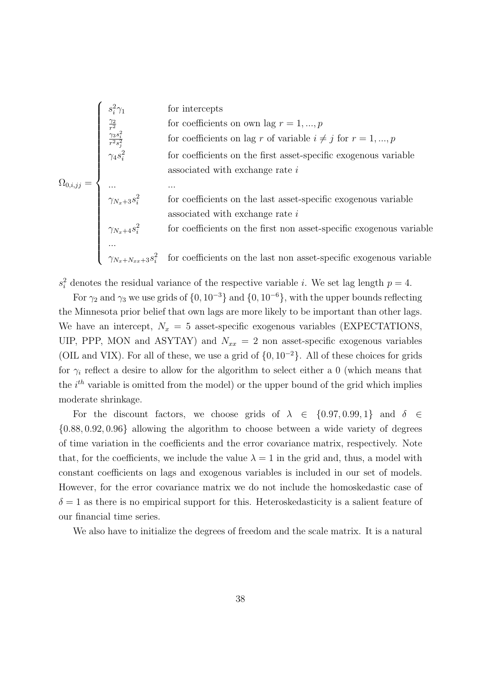$$
\Omega_{0,i,jj} = \begin{cases}\ns_i^2 \gamma_1 & \text{for intercepts} \\
\frac{\gamma_2}{r^2 s_j^2} & \text{for coefficients on own lag } r = 1,...,p \\
\frac{\gamma_3 s_i^2}{r^2 s_j^2} & \text{for coefficients on lag } r \text{ of variable } i \neq j \text{ for } r = 1,...,p \\
\gamma_4 s_i^2 & \text{for coefficients on the first asset-specific exogenous variable} \\
... & ... \\
\gamma_{N_x+3} s_i^2 & \text{for coefficients on the last asset-specific exogenous variable} \\
\text{associated with exchange rate } i \\
\gamma_{N_x+4} s_i^2 & \text{for coefficients on the first non asset-specific exogenous variable} \\
... & \gamma_{N_x+N_{xx}+3} s_i^2 & \text{for coefficients on the last non asset-specific exogenous variable}\n\end{cases}
$$

 $s_i^2$  denotes the residual variance of the respective variable *i*. We set lag length  $p = 4$ .

For  $\gamma_2$  and  $\gamma_3$  we use grids of  $\{0, 10^{-3}\}\$  and  $\{0, 10^{-6}\}\$ , with the upper bounds reflecting the Minnesota prior belief that own lags are more likely to be important than other lags. We have an intercept,  $N_x = 5$  asset-specific exogenous variables (EXPECTATIONS, UIP, PPP, MON and ASYTAY) and  $N_{xx} = 2$  non asset-specific exogenous variables (OIL and VIX). For all of these, we use a grid of  $\{0, 10^{-2}\}$ . All of these choices for grids for  $\gamma_i$  reflect a desire to allow for the algorithm to select either a 0 (which means that the  $i^{th}$  variable is omitted from the model) or the upper bound of the grid which implies moderate shrinkage.

For the discount factors, we choose grids of  $\lambda \in \{0.97, 0.99, 1\}$  and  $\delta \in$ {0.88, 0.92, 0.96} allowing the algorithm to choose between a wide variety of degrees of time variation in the coefficients and the error covariance matrix, respectively. Note that, for the coefficients, we include the value  $\lambda = 1$  in the grid and, thus, a model with constant coefficients on lags and exogenous variables is included in our set of models. However, for the error covariance matrix we do not include the homoskedastic case of  $\delta = 1$  as there is no empirical support for this. Heteroskedasticity is a salient feature of our financial time series.

We also have to initialize the degrees of freedom and the scale matrix. It is a natural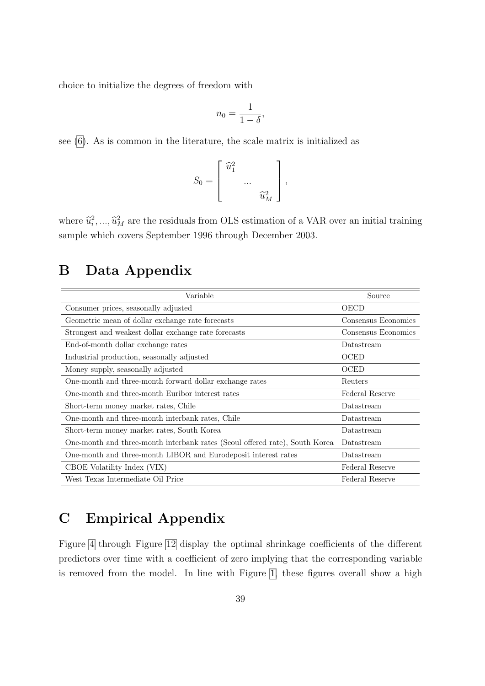choice to initialize the degrees of freedom with

$$
n_0 = \frac{1}{1 - \delta},
$$

see [\(6\)](#page-36-0). As is common in the literature, the scale matrix is initialized as

$$
S_0 = \begin{bmatrix} \widehat{u}_1^2 & & \\ & \dots & \\ & & \widehat{u}_M^2 \end{bmatrix},
$$

where  $\hat{u}_i^2, ..., \hat{u}_M^2$  are the residuals from OLS estimation of a VAR over an initial training sample which covers September 1996 through December 2003.

# <span id="page-39-0"></span>B Data Appendix

| Variable                                                                    | Source              |
|-----------------------------------------------------------------------------|---------------------|
| Consumer prices, seasonally adjusted                                        | OECD                |
| Geometric mean of dollar exchange rate forecasts                            | Consensus Economics |
| Strongest and weakest dollar exchange rate forecasts                        | Consensus Economics |
| End-of-month dollar exchange rates                                          | Datastream          |
| Industrial production, seasonally adjusted                                  | OCED                |
| Money supply, seasonally adjusted                                           | OCED                |
| One-month and three-month forward dollar exchange rates                     | Reuters             |
| One-month and three-month Euribor interest rates                            | Federal Reserve     |
| Short-term money market rates, Chile                                        | Datastream          |
| One-month and three-month interbank rates, Chile                            | Datastream          |
| Short-term money market rates, South Korea                                  | Datastream          |
| One-month and three-month interbank rates (Seoul offered rate), South Korea | Datastream          |
| One-month and three-month LIBOR and Eurodeposit interest rates              | Datastream          |
| CBOE Volatility Index (VIX)                                                 | Federal Reserve     |
| West Texas Intermediate Oil Price                                           | Federal Reserve     |

# C Empirical Appendix

Figure [4](#page-40-0) through Figure [12](#page-44-0) display the optimal shrinkage coefficients of the different predictors over time with a coefficient of zero implying that the corresponding variable is removed from the model. In line with Figure [1,](#page-18-0) these figures overall show a high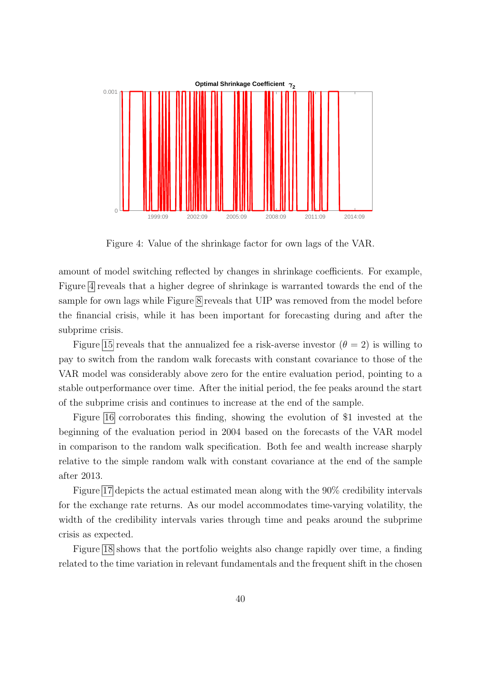

<span id="page-40-0"></span>Figure 4: Value of the shrinkage factor for own lags of the VAR.

amount of model switching reflected by changes in shrinkage coefficients. For example, Figure [4](#page-40-0) reveals that a higher degree of shrinkage is warranted towards the end of the sample for own lags while Figure [8](#page-42-1) reveals that UIP was removed from the model before the financial crisis, while it has been important for forecasting during and after the subprime crisis.

Figure [15](#page-46-0) reveals that the annualized fee a risk-averse investor  $(\theta = 2)$  is willing to pay to switch from the random walk forecasts with constant covariance to those of the VAR model was considerably above zero for the entire evaluation period, pointing to a stable outperformance over time. After the initial period, the fee peaks around the start of the subprime crisis and continues to increase at the end of the sample.

Figure [16](#page-46-1) corroborates this finding, showing the evolution of \$1 invested at the beginning of the evaluation period in 2004 based on the forecasts of the VAR model in comparison to the random walk specification. Both fee and wealth increase sharply relative to the simple random walk with constant covariance at the end of the sample after 2013.

Figure [17](#page-47-0) depicts the actual estimated mean along with the 90% credibility intervals for the exchange rate returns. As our model accommodates time-varying volatility, the width of the credibility intervals varies through time and peaks around the subprime crisis as expected.

Figure [18](#page-48-0) shows that the portfolio weights also change rapidly over time, a finding related to the time variation in relevant fundamentals and the frequent shift in the chosen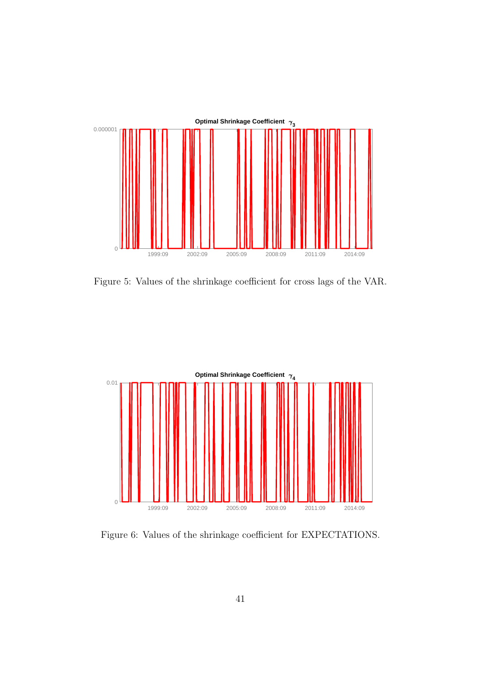

Figure 5: Values of the shrinkage coefficient for cross lags of the VAR.



Figure 6: Values of the shrinkage coefficient for EXPECTATIONS.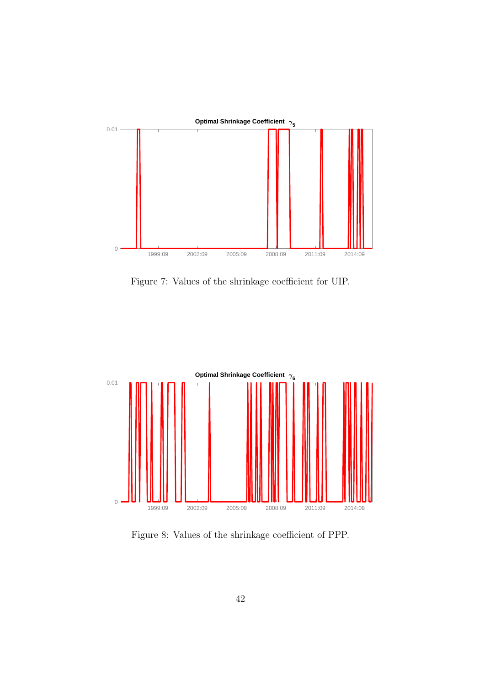

<span id="page-42-0"></span>Figure 7: Values of the shrinkage coefficient for UIP.



<span id="page-42-1"></span>Figure 8: Values of the shrinkage coefficient of PPP.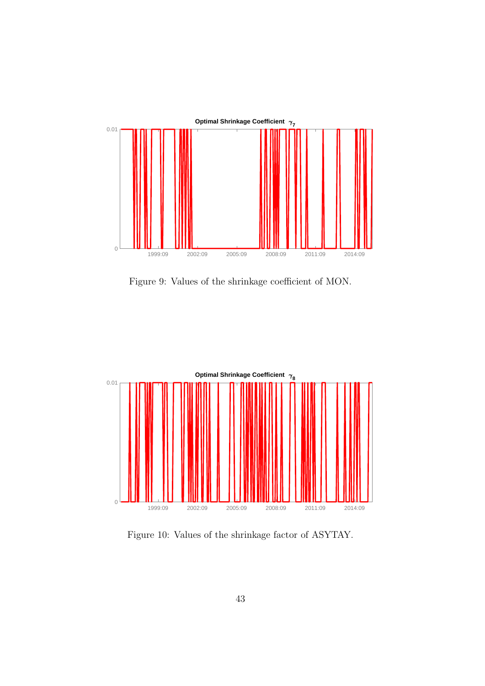

Figure 9: Values of the shrinkage coefficient of MON.



Figure 10: Values of the shrinkage factor of ASYTAY.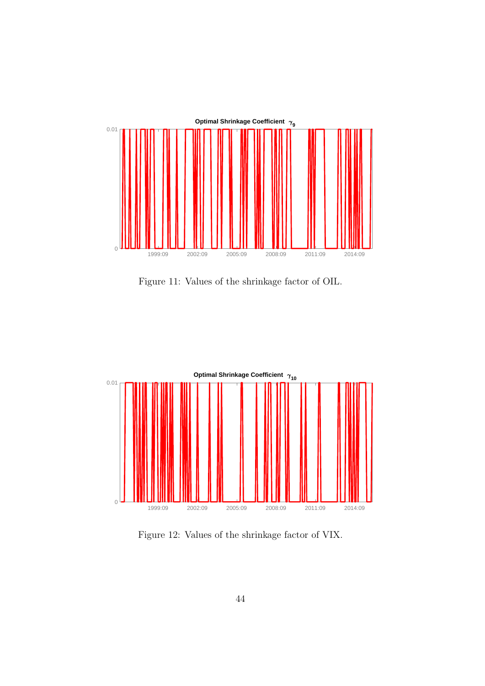

Figure 11: Values of the shrinkage factor of OIL.



<span id="page-44-0"></span>Figure 12: Values of the shrinkage factor of VIX.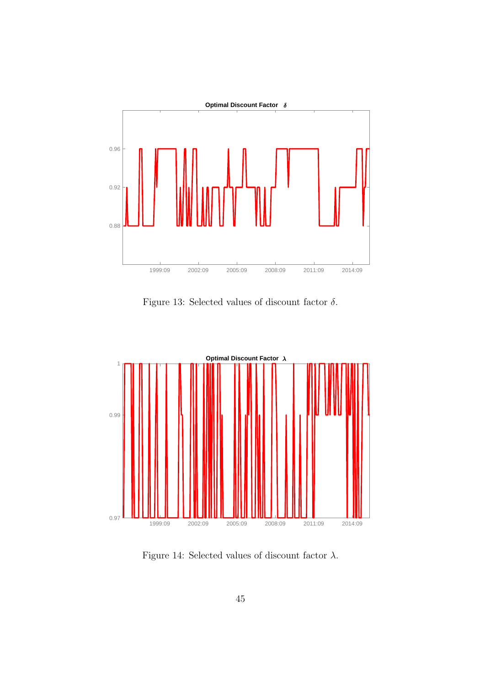

<span id="page-45-1"></span>Figure 13: Selected values of discount factor  $\delta$ .



<span id="page-45-0"></span>Figure 14: Selected values of discount factor  $\lambda$ .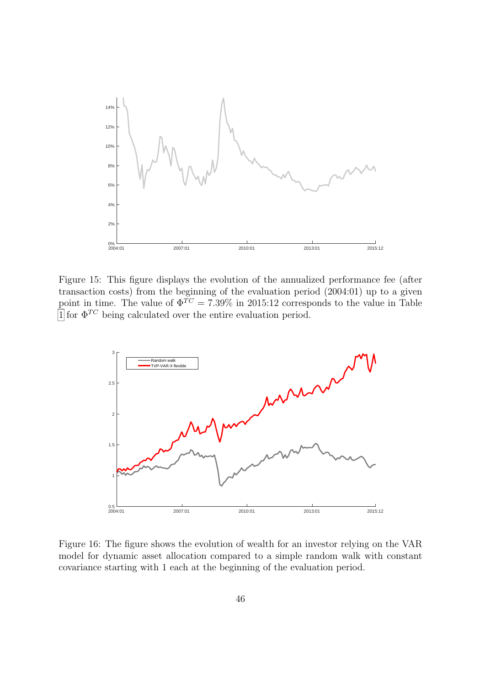

<span id="page-46-0"></span>Figure 15: This figure displays the evolution of the annualized performance fee (after transaction costs) from the beginning of the evaluation period (2004:01) up to a given point in time. The value of  $\Phi^{\widetilde{TC}} = 7.39\%$  in 2015:12 corresponds to the value in Table [1](#page-20-0) for  $\Phi^{TC}$  being calculated over the entire evaluation period.



<span id="page-46-1"></span>Figure 16: The figure shows the evolution of wealth for an investor relying on the VAR model for dynamic asset allocation compared to a simple random walk with constant covariance starting with 1 each at the beginning of the evaluation period.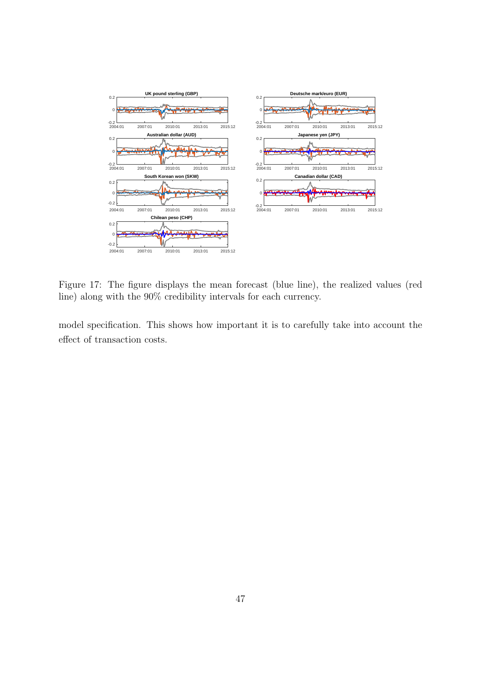

<span id="page-47-0"></span>Figure 17: The figure displays the mean forecast (blue line), the realized values (red line) along with the 90% credibility intervals for each currency.

model specification. This shows how important it is to carefully take into account the effect of transaction costs.